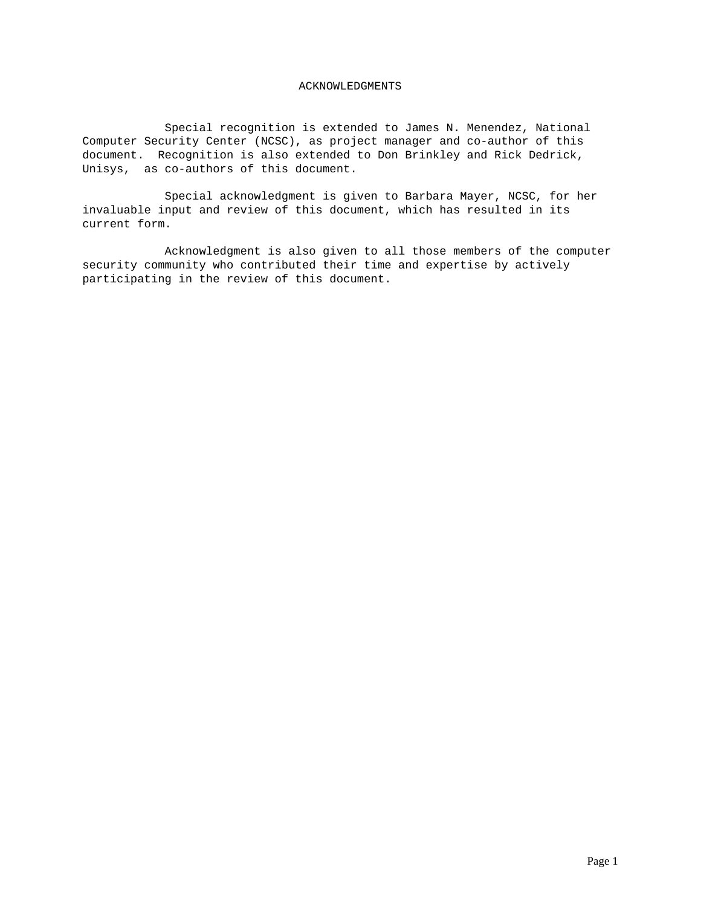### ACKNOWLEDGMENTS

Special recognition is extended to James N. Menendez, National Computer Security Center (NCSC), as project manager and co-author of this document. Recognition is also extended to Don Brinkley and Rick Dedrick, Unisys, as co-authors of this document.

Special acknowledgment is given to Barbara Mayer, NCSC, for her invaluable input and review of this document, which has resulted in its current form.

Acknowledgment is also given to all those members of the computer security community who contributed their time and expertise by actively participating in the review of this document.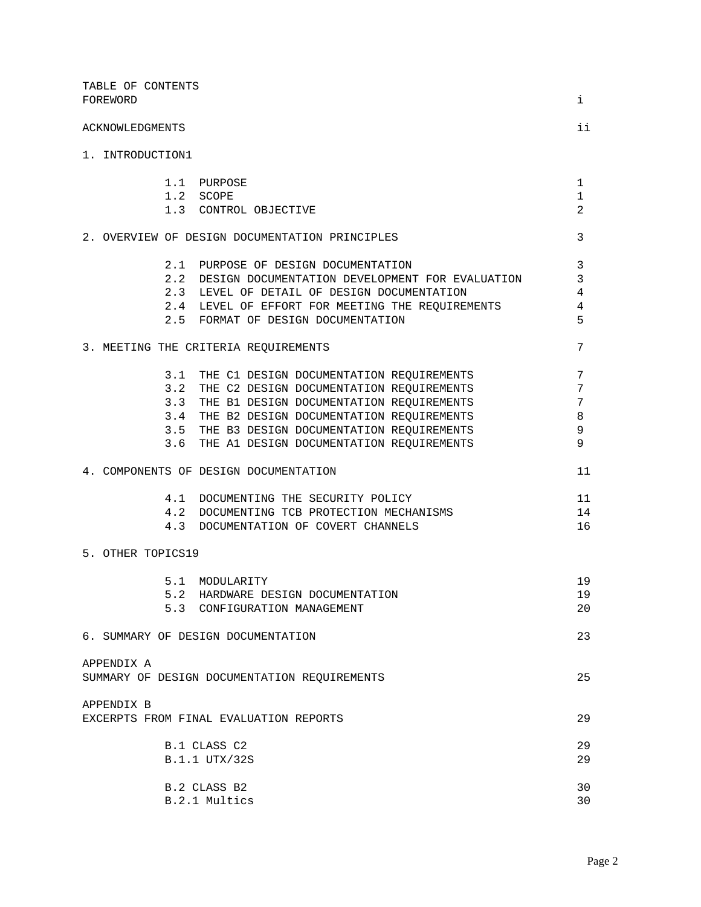| FOREWORD | TABLE OF CONTENTS      |                                                     | i.             |
|----------|------------------------|-----------------------------------------------------|----------------|
|          | <b>ACKNOWLEDGMENTS</b> |                                                     | ii             |
|          | 1. INTRODUCTION1       |                                                     |                |
|          |                        | 1.1 PURPOSE                                         | 1              |
|          |                        | 1.2 SCOPE                                           | $\mathbf{1}$   |
|          |                        | 1.3 CONTROL OBJECTIVE                               | $\overline{a}$ |
|          |                        | 2. OVERVIEW OF DESIGN DOCUMENTATION PRINCIPLES      | 3              |
|          |                        | 2.1 PURPOSE OF DESIGN DOCUMENTATION                 | $\mathsf{3}$   |
|          |                        | 2.2 DESIGN DOCUMENTATION DEVELOPMENT FOR EVALUATION | $\mathfrak{Z}$ |
|          |                        | 2.3 LEVEL OF DETAIL OF DESIGN DOCUMENTATION         | 4              |
|          |                        | 2.4 LEVEL OF EFFORT FOR MEETING THE REQUIREMENTS    | 4              |
|          |                        | 2.5 FORMAT OF DESIGN DOCUMENTATION                  | 5              |
|          |                        | 3. MEETING THE CRITERIA REQUIREMENTS                | 7              |
|          |                        | 3.1 THE C1 DESIGN DOCUMENTATION REQUIREMENTS        | 7              |
|          |                        | 3.2 THE C2 DESIGN DOCUMENTATION REQUIREMENTS        | 7              |
|          |                        | 3.3 THE B1 DESIGN DOCUMENTATION REQUIREMENTS        | 7              |
|          |                        | 3.4 THE B2 DESIGN DOCUMENTATION REQUIREMENTS        | 8              |
|          |                        | 3.5 THE B3 DESIGN DOCUMENTATION REQUIREMENTS        | 9              |
|          |                        | 3.6 THE A1 DESIGN DOCUMENTATION REQUIREMENTS        | 9              |
|          |                        | 4. COMPONENTS OF DESIGN DOCUMENTATION               | 11             |
|          |                        | 4.1 DOCUMENTING THE SECURITY POLICY                 | 11             |
|          |                        | 4.2 DOCUMENTING TCB PROTECTION MECHANISMS           | 14             |
|          |                        | 4.3 DOCUMENTATION OF COVERT CHANNELS                | 16             |
|          | 5. OTHER TOPICS19      |                                                     |                |
|          |                        | 5.1 MODULARITY                                      | 19             |
|          |                        | 5.2 HARDWARE DESIGN DOCUMENTATION                   | 19             |
|          |                        | 5.3 CONFIGURATION MANAGEMENT                        | 20             |
|          |                        | 6. SUMMARY OF DESIGN DOCUMENTATION                  | 23             |
|          | APPENDIX A             | SUMMARY OF DESIGN DOCUMENTATION REOUIREMENTS        | 25             |
|          |                        |                                                     |                |
|          | APPENDIX B             |                                                     |                |
|          |                        | EXCERPTS FROM FINAL EVALUATION REPORTS              | 29             |
|          |                        | B.1 CLASS C2                                        | 29             |
|          |                        | B.1.1 UTX/32S                                       | 29             |
|          |                        | B.2 CLASS B2                                        | 30             |
|          |                        | B.2.1 Multics                                       | 30             |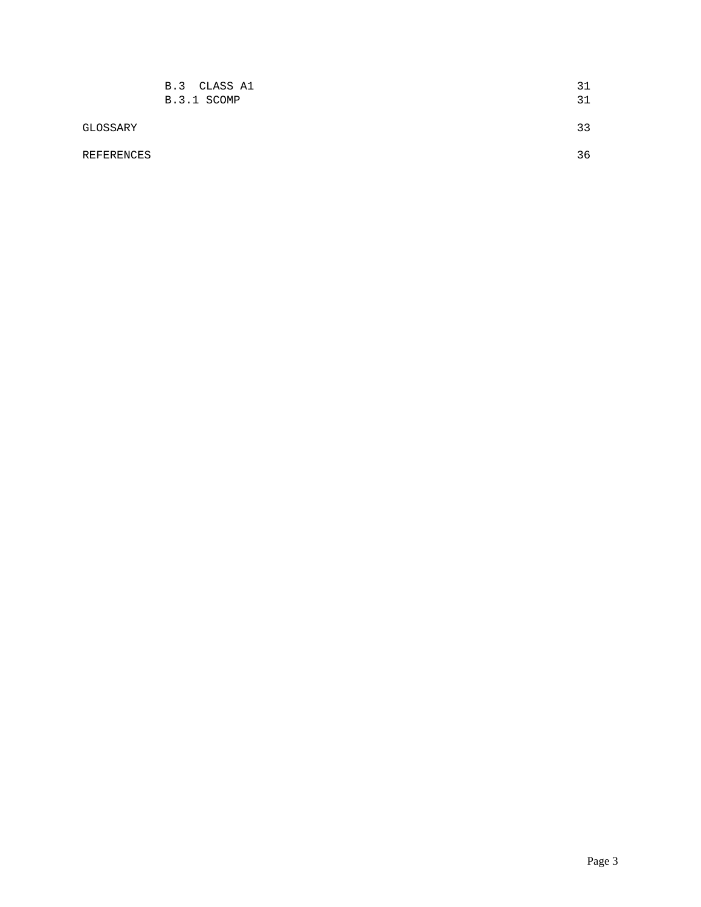|            | CLASS A1<br>B.3<br>B.3.1 SCOMP | 31<br>31 |
|------------|--------------------------------|----------|
|            |                                |          |
| GLOSSARY   |                                | 33       |
| REFERENCES |                                | 36       |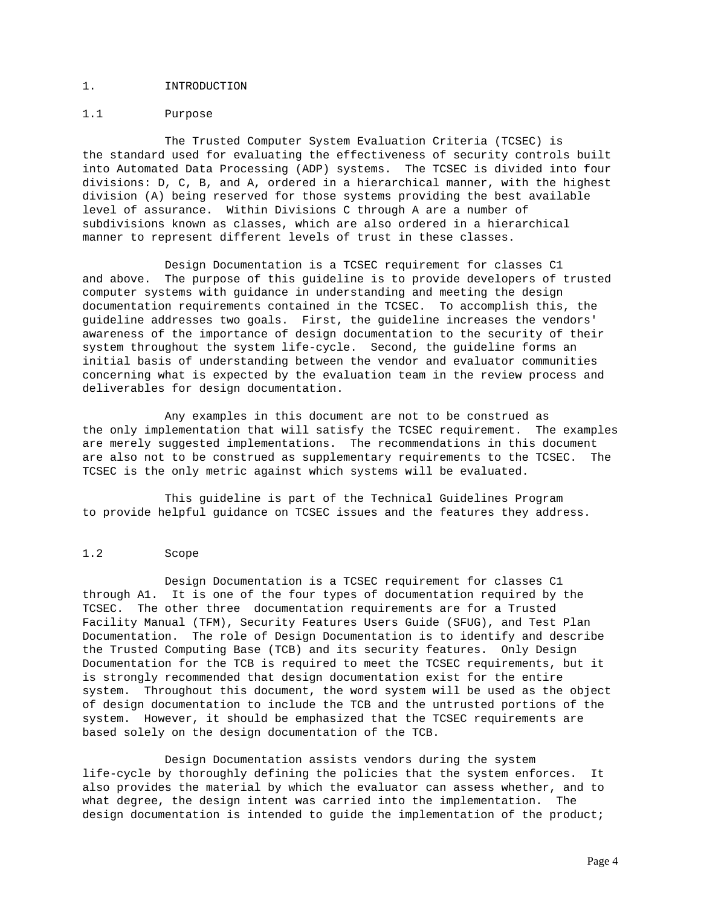# 1. INTRODUCTION

# 1.1 Purpose

The Trusted Computer System Evaluation Criteria (TCSEC) is the standard used for evaluating the effectiveness of security controls built into Automated Data Processing (ADP) systems. The TCSEC is divided into four divisions: D, C, B, and A, ordered in a hierarchical manner, with the highest division (A) being reserved for those systems providing the best available level of assurance. Within Divisions C through A are a number of subdivisions known as classes, which are also ordered in a hierarchical manner to represent different levels of trust in these classes.

Design Documentation is a TCSEC requirement for classes C1 and above. The purpose of this guideline is to provide developers of trusted computer systems with guidance in understanding and meeting the design documentation requirements contained in the TCSEC. To accomplish this, the guideline addresses two goals. First, the guideline increases the vendors' awareness of the importance of design documentation to the security of their system throughout the system life-cycle. Second, the guideline forms an initial basis of understanding between the vendor and evaluator communities concerning what is expected by the evaluation team in the review process and deliverables for design documentation.

Any examples in this document are not to be construed as the only implementation that will satisfy the TCSEC requirement. The examples are merely suggested implementations. The recommendations in this document are also not to be construed as supplementary requirements to the TCSEC. The TCSEC is the only metric against which systems will be evaluated.

This guideline is part of the Technical Guidelines Program to provide helpful guidance on TCSEC issues and the features they address.

# 1.2 Scope

Design Documentation is a TCSEC requirement for classes C1 through A1. It is one of the four types of documentation required by the TCSEC. The other three documentation requirements are for a Trusted Facility Manual (TFM), Security Features Users Guide (SFUG), and Test Plan Documentation. The role of Design Documentation is to identify and describe the Trusted Computing Base (TCB) and its security features. Only Design Documentation for the TCB is required to meet the TCSEC requirements, but it is strongly recommended that design documentation exist for the entire system. Throughout this document, the word system will be used as the object of design documentation to include the TCB and the untrusted portions of the system. However, it should be emphasized that the TCSEC requirements are based solely on the design documentation of the TCB.

Design Documentation assists vendors during the system life-cycle by thoroughly defining the policies that the system enforces. It also provides the material by which the evaluator can assess whether, and to what degree, the design intent was carried into the implementation. The design documentation is intended to guide the implementation of the product;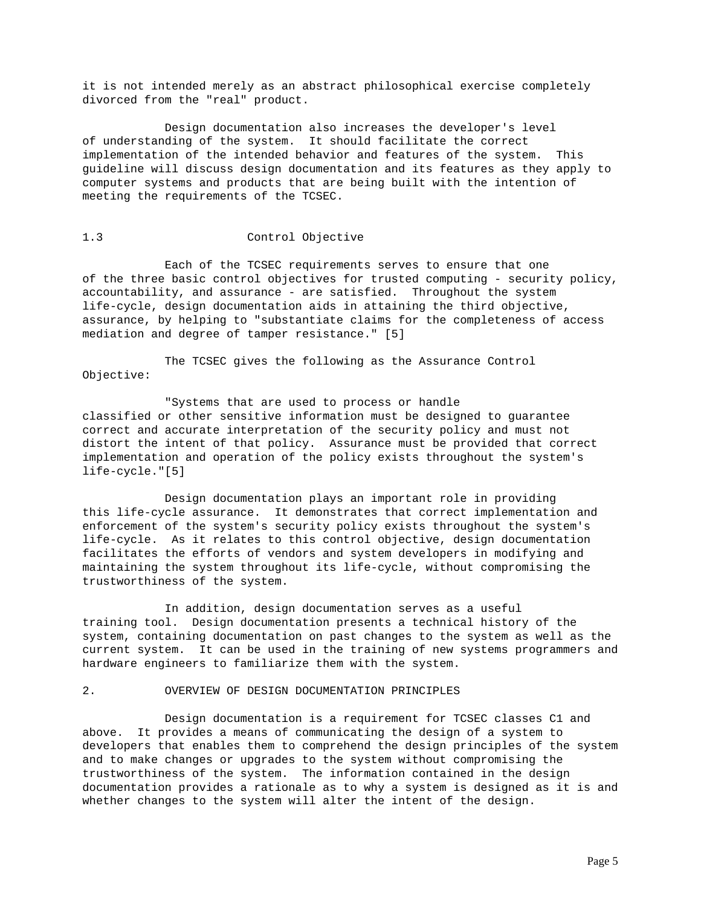it is not intended merely as an abstract philosophical exercise completely divorced from the "real" product.

Design documentation also increases the developer's level of understanding of the system. It should facilitate the correct implementation of the intended behavior and features of the system. This guideline will discuss design documentation and its features as they apply to computer systems and products that are being built with the intention of meeting the requirements of the TCSEC.

### 1.3 Control Objective

Each of the TCSEC requirements serves to ensure that one of the three basic control objectives for trusted computing - security policy, accountability, and assurance - are satisfied. Throughout the system life-cycle, design documentation aids in attaining the third objective, assurance, by helping to "substantiate claims for the completeness of access mediation and degree of tamper resistance." [5]

The TCSEC gives the following as the Assurance Control Objective:

"Systems that are used to process or handle classified or other sensitive information must be designed to guarantee correct and accurate interpretation of the security policy and must not distort the intent of that policy. Assurance must be provided that correct implementation and operation of the policy exists throughout the system's life-cycle."[5]

Design documentation plays an important role in providing this life-cycle assurance. It demonstrates that correct implementation and enforcement of the system's security policy exists throughout the system's life-cycle. As it relates to this control objective, design documentation facilitates the efforts of vendors and system developers in modifying and maintaining the system throughout its life-cycle, without compromising the trustworthiness of the system.

In addition, design documentation serves as a useful training tool. Design documentation presents a technical history of the system, containing documentation on past changes to the system as well as the current system. It can be used in the training of new systems programmers and hardware engineers to familiarize them with the system.

## 2. OVERVIEW OF DESIGN DOCUMENTATION PRINCIPLES

Design documentation is a requirement for TCSEC classes C1 and above. It provides a means of communicating the design of a system to developers that enables them to comprehend the design principles of the system and to make changes or upgrades to the system without compromising the trustworthiness of the system. The information contained in the design documentation provides a rationale as to why a system is designed as it is and whether changes to the system will alter the intent of the design.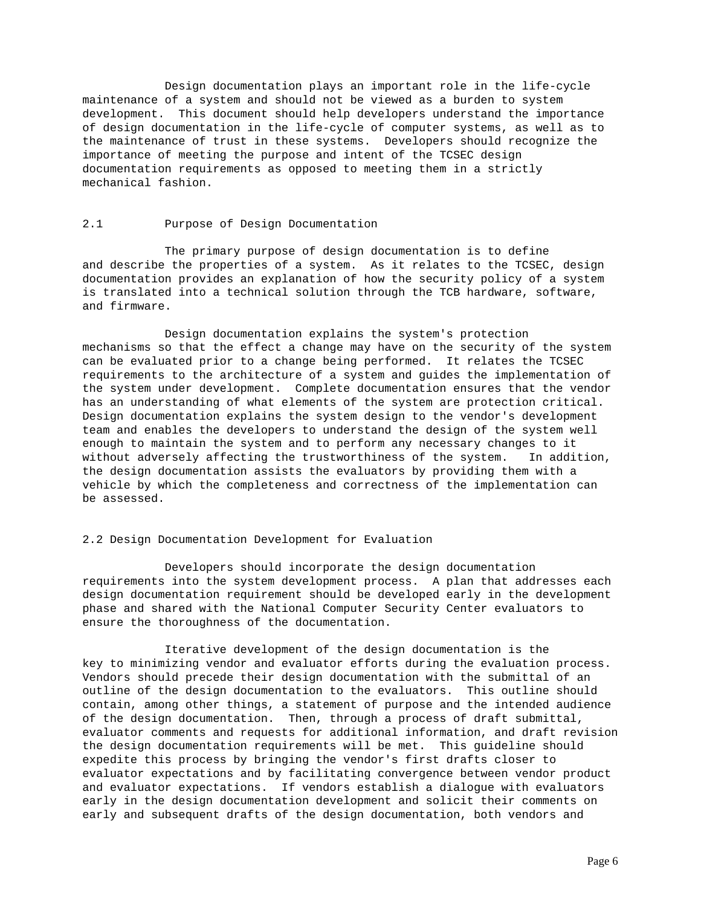Design documentation plays an important role in the life-cycle maintenance of a system and should not be viewed as a burden to system development. This document should help developers understand the importance of design documentation in the life-cycle of computer systems, as well as to the maintenance of trust in these systems. Developers should recognize the importance of meeting the purpose and intent of the TCSEC design documentation requirements as opposed to meeting them in a strictly mechanical fashion.

# 2.1 Purpose of Design Documentation

The primary purpose of design documentation is to define and describe the properties of a system. As it relates to the TCSEC, design documentation provides an explanation of how the security policy of a system is translated into a technical solution through the TCB hardware, software, and firmware.

Design documentation explains the system's protection mechanisms so that the effect a change may have on the security of the system can be evaluated prior to a change being performed. It relates the TCSEC requirements to the architecture of a system and guides the implementation of the system under development. Complete documentation ensures that the vendor has an understanding of what elements of the system are protection critical. Design documentation explains the system design to the vendor's development team and enables the developers to understand the design of the system well enough to maintain the system and to perform any necessary changes to it without adversely affecting the trustworthiness of the system. In addition, the design documentation assists the evaluators by providing them with a vehicle by which the completeness and correctness of the implementation can be assessed.

# 2.2 Design Documentation Development for Evaluation

Developers should incorporate the design documentation requirements into the system development process. A plan that addresses each design documentation requirement should be developed early in the development phase and shared with the National Computer Security Center evaluators to ensure the thoroughness of the documentation.

Iterative development of the design documentation is the key to minimizing vendor and evaluator efforts during the evaluation process. Vendors should precede their design documentation with the submittal of an outline of the design documentation to the evaluators. This outline should contain, among other things, a statement of purpose and the intended audience of the design documentation. Then, through a process of draft submittal, evaluator comments and requests for additional information, and draft revision the design documentation requirements will be met. This guideline should expedite this process by bringing the vendor's first drafts closer to evaluator expectations and by facilitating convergence between vendor product and evaluator expectations. If vendors establish a dialogue with evaluators early in the design documentation development and solicit their comments on early and subsequent drafts of the design documentation, both vendors and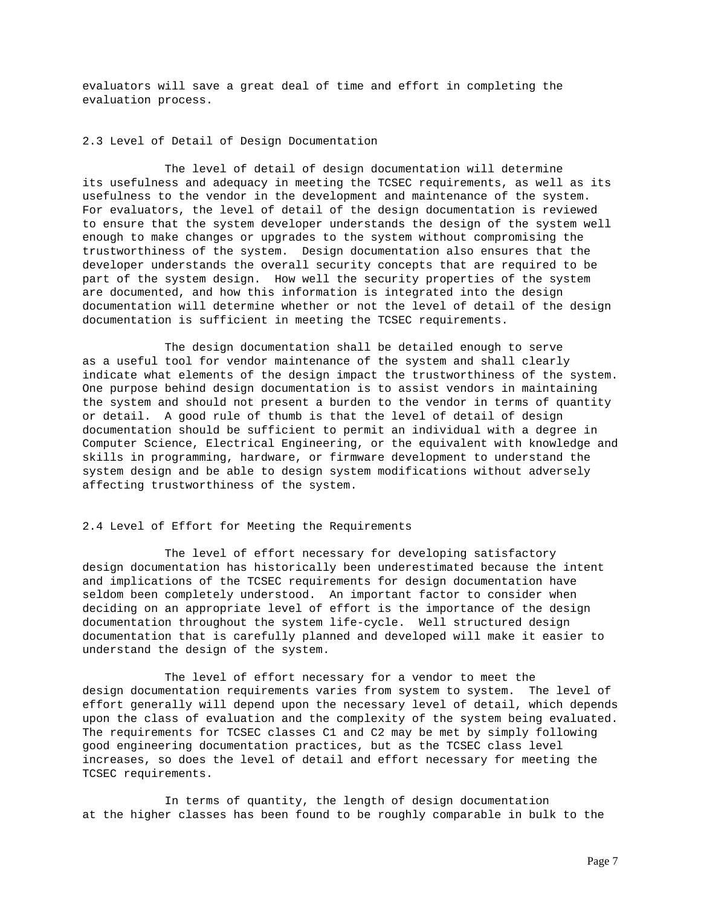evaluators will save a great deal of time and effort in completing the evaluation process.

# 2.3 Level of Detail of Design Documentation

The level of detail of design documentation will determine its usefulness and adequacy in meeting the TCSEC requirements, as well as its usefulness to the vendor in the development and maintenance of the system. For evaluators, the level of detail of the design documentation is reviewed to ensure that the system developer understands the design of the system well enough to make changes or upgrades to the system without compromising the trustworthiness of the system. Design documentation also ensures that the developer understands the overall security concepts that are required to be part of the system design. How well the security properties of the system are documented, and how this information is integrated into the design documentation will determine whether or not the level of detail of the design documentation is sufficient in meeting the TCSEC requirements.

The design documentation shall be detailed enough to serve as a useful tool for vendor maintenance of the system and shall clearly indicate what elements of the design impact the trustworthiness of the system. One purpose behind design documentation is to assist vendors in maintaining the system and should not present a burden to the vendor in terms of quantity or detail. A good rule of thumb is that the level of detail of design documentation should be sufficient to permit an individual with a degree in Computer Science, Electrical Engineering, or the equivalent with knowledge and skills in programming, hardware, or firmware development to understand the system design and be able to design system modifications without adversely affecting trustworthiness of the system.

# 2.4 Level of Effort for Meeting the Requirements

The level of effort necessary for developing satisfactory design documentation has historically been underestimated because the intent and implications of the TCSEC requirements for design documentation have seldom been completely understood. An important factor to consider when deciding on an appropriate level of effort is the importance of the design documentation throughout the system life-cycle. Well structured design documentation that is carefully planned and developed will make it easier to understand the design of the system.

The level of effort necessary for a vendor to meet the design documentation requirements varies from system to system. The level of effort generally will depend upon the necessary level of detail, which depends upon the class of evaluation and the complexity of the system being evaluated. The requirements for TCSEC classes C1 and C2 may be met by simply following good engineering documentation practices, but as the TCSEC class level increases, so does the level of detail and effort necessary for meeting the TCSEC requirements.

In terms of quantity, the length of design documentation at the higher classes has been found to be roughly comparable in bulk to the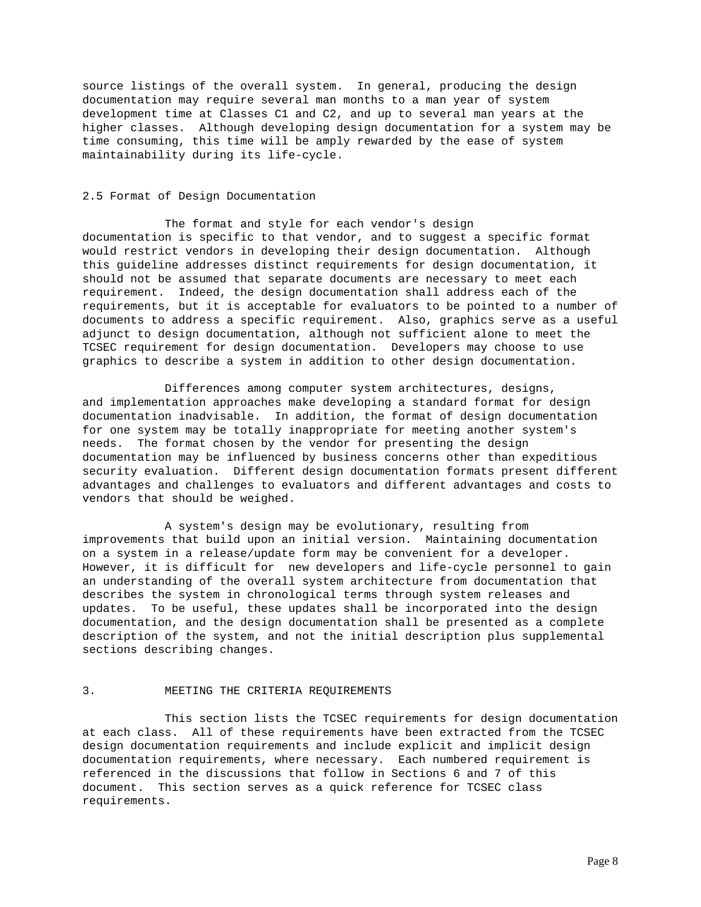source listings of the overall system. In general, producing the design documentation may require several man months to a man year of system development time at Classes C1 and C2, and up to several man years at the higher classes. Although developing design documentation for a system may be time consuming, this time will be amply rewarded by the ease of system maintainability during its life-cycle.

### 2.5 Format of Design Documentation

The format and style for each vendor's design documentation is specific to that vendor, and to suggest a specific format would restrict vendors in developing their design documentation. Although this guideline addresses distinct requirements for design documentation, it should not be assumed that separate documents are necessary to meet each requirement. Indeed, the design documentation shall address each of the requirements, but it is acceptable for evaluators to be pointed to a number of documents to address a specific requirement. Also, graphics serve as a useful adjunct to design documentation, although not sufficient alone to meet the TCSEC requirement for design documentation. Developers may choose to use graphics to describe a system in addition to other design documentation.

Differences among computer system architectures, designs, and implementation approaches make developing a standard format for design documentation inadvisable. In addition, the format of design documentation for one system may be totally inappropriate for meeting another system's needs. The format chosen by the vendor for presenting the design documentation may be influenced by business concerns other than expeditious security evaluation. Different design documentation formats present different advantages and challenges to evaluators and different advantages and costs to vendors that should be weighed.

A system's design may be evolutionary, resulting from improvements that build upon an initial version. Maintaining documentation on a system in a release/update form may be convenient for a developer. However, it is difficult for new developers and life-cycle personnel to gain an understanding of the overall system architecture from documentation that describes the system in chronological terms through system releases and updates. To be useful, these updates shall be incorporated into the design documentation, and the design documentation shall be presented as a complete description of the system, and not the initial description plus supplemental sections describing changes.

## 3. MEETING THE CRITERIA REQUIREMENTS

This section lists the TCSEC requirements for design documentation at each class. All of these requirements have been extracted from the TCSEC design documentation requirements and include explicit and implicit design documentation requirements, where necessary. Each numbered requirement is referenced in the discussions that follow in Sections 6 and 7 of this document. This section serves as a quick reference for TCSEC class requirements.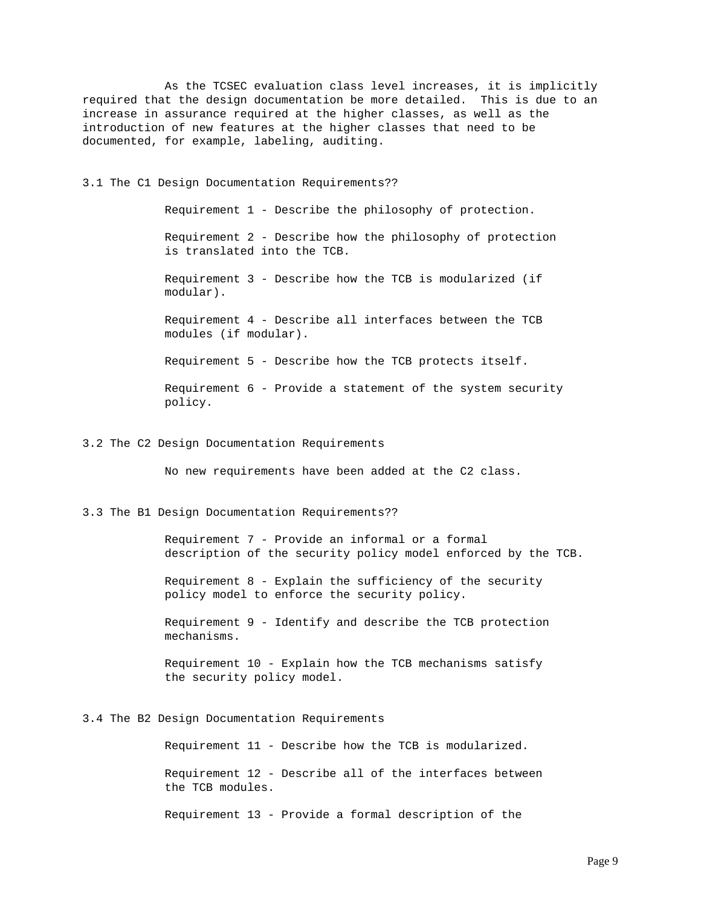As the TCSEC evaluation class level increases, it is implicitly required that the design documentation be more detailed. This is due to an increase in assurance required at the higher classes, as well as the introduction of new features at the higher classes that need to be documented, for example, labeling, auditing.

3.1 The C1 Design Documentation Requirements??

Requirement 1 - Describe the philosophy of protection.

Requirement 2 - Describe how the philosophy of protection is translated into the TCB.

Requirement 3 - Describe how the TCB is modularized (if modular).

Requirement 4 - Describe all interfaces between the TCB modules (if modular).

Requirement 5 - Describe how the TCB protects itself.

Requirement 6 - Provide a statement of the system security policy.

3.2 The C2 Design Documentation Requirements

No new requirements have been added at the C2 class.

3.3 The B1 Design Documentation Requirements??

Requirement 7 - Provide an informal or a formal description of the security policy model enforced by the TCB.

Requirement 8 - Explain the sufficiency of the security policy model to enforce the security policy.

Requirement 9 - Identify and describe the TCB protection mechanisms.

Requirement 10 - Explain how the TCB mechanisms satisfy the security policy model.

3.4 The B2 Design Documentation Requirements

Requirement 11 - Describe how the TCB is modularized. Requirement 12 - Describe all of the interfaces between the TCB modules.

Requirement 13 - Provide a formal description of the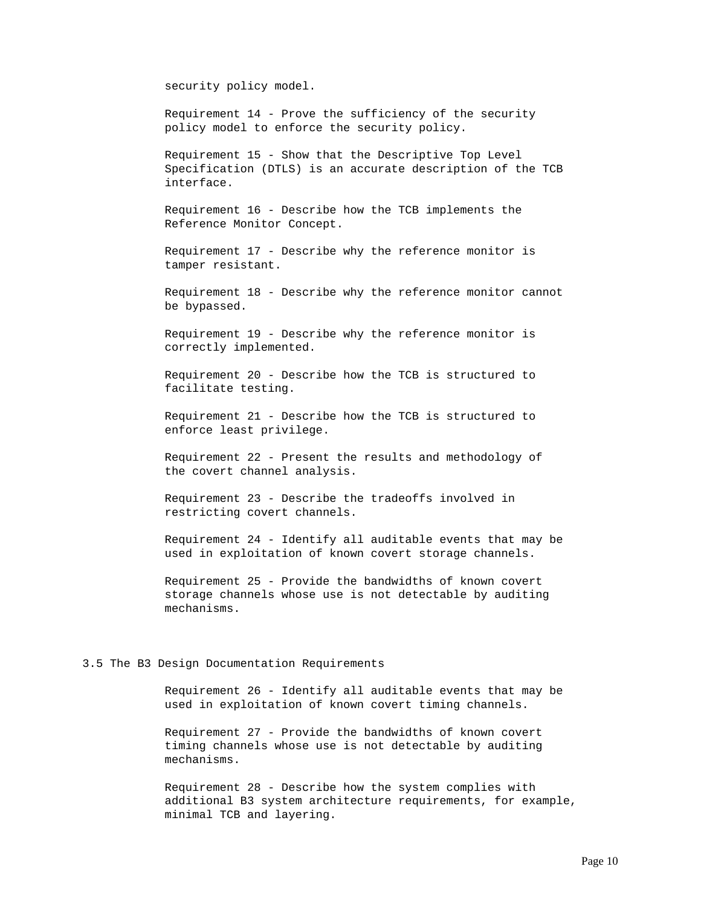security policy model.

Requirement 14 - Prove the sufficiency of the security policy model to enforce the security policy.

Requirement 15 - Show that the Descriptive Top Level Specification (DTLS) is an accurate description of the TCB interface.

Requirement 16 - Describe how the TCB implements the Reference Monitor Concept.

Requirement 17 - Describe why the reference monitor is tamper resistant.

Requirement 18 - Describe why the reference monitor cannot be bypassed.

Requirement 19 - Describe why the reference monitor is correctly implemented.

Requirement 20 - Describe how the TCB is structured to facilitate testing.

Requirement 21 - Describe how the TCB is structured to enforce least privilege.

Requirement 22 - Present the results and methodology of the covert channel analysis.

Requirement 23 - Describe the tradeoffs involved in restricting covert channels.

Requirement 24 - Identify all auditable events that may be used in exploitation of known covert storage channels.

Requirement 25 - Provide the bandwidths of known covert storage channels whose use is not detectable by auditing mechanisms.

#### 3.5 The B3 Design Documentation Requirements

Requirement 26 - Identify all auditable events that may be used in exploitation of known covert timing channels.

Requirement 27 - Provide the bandwidths of known covert timing channels whose use is not detectable by auditing mechanisms.

Requirement 28 - Describe how the system complies with additional B3 system architecture requirements, for example, minimal TCB and layering.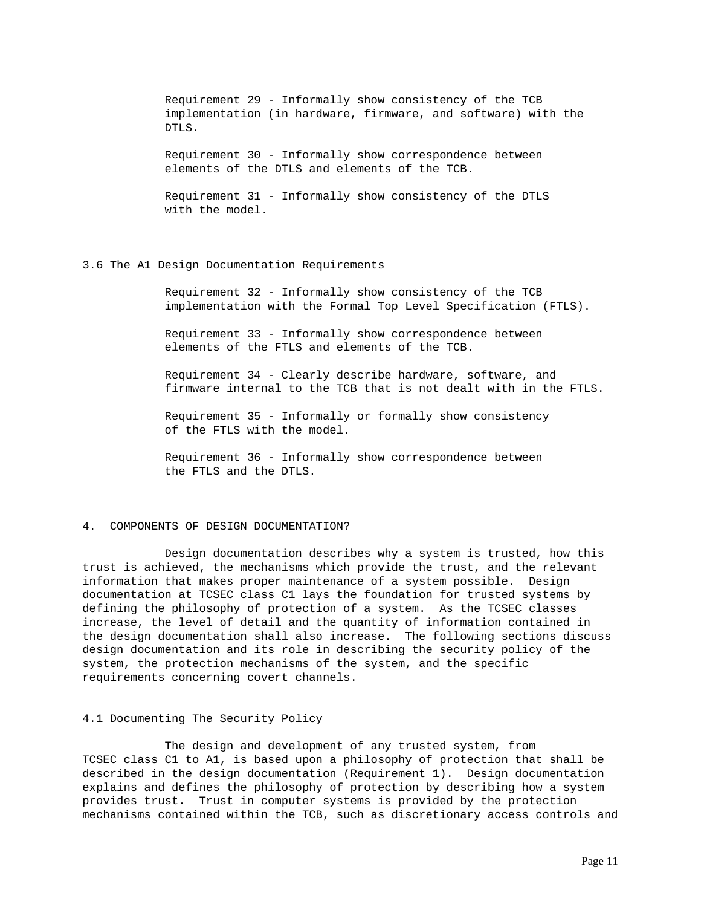Requirement 29 - Informally show consistency of the TCB implementation (in hardware, firmware, and software) with the DTLS.

Requirement 30 - Informally show correspondence between elements of the DTLS and elements of the TCB.

Requirement 31 - Informally show consistency of the DTLS with the model.

### 3.6 The A1 Design Documentation Requirements

Requirement 32 - Informally show consistency of the TCB implementation with the Formal Top Level Specification (FTLS).

Requirement 33 - Informally show correspondence between elements of the FTLS and elements of the TCB.

Requirement 34 - Clearly describe hardware, software, and firmware internal to the TCB that is not dealt with in the FTLS.

Requirement 35 - Informally or formally show consistency of the FTLS with the model.

Requirement 36 - Informally show correspondence between the FTLS and the DTLS.

# 4. COMPONENTS OF DESIGN DOCUMENTATION?

Design documentation describes why a system is trusted, how this trust is achieved, the mechanisms which provide the trust, and the relevant information that makes proper maintenance of a system possible. Design documentation at TCSEC class C1 lays the foundation for trusted systems by defining the philosophy of protection of a system. As the TCSEC classes increase, the level of detail and the quantity of information contained in the design documentation shall also increase. The following sections discuss design documentation and its role in describing the security policy of the system, the protection mechanisms of the system, and the specific requirements concerning covert channels.

### 4.1 Documenting The Security Policy

The design and development of any trusted system, from TCSEC class C1 to A1, is based upon a philosophy of protection that shall be described in the design documentation (Requirement 1). Design documentation explains and defines the philosophy of protection by describing how a system provides trust. Trust in computer systems is provided by the protection mechanisms contained within the TCB, such as discretionary access controls and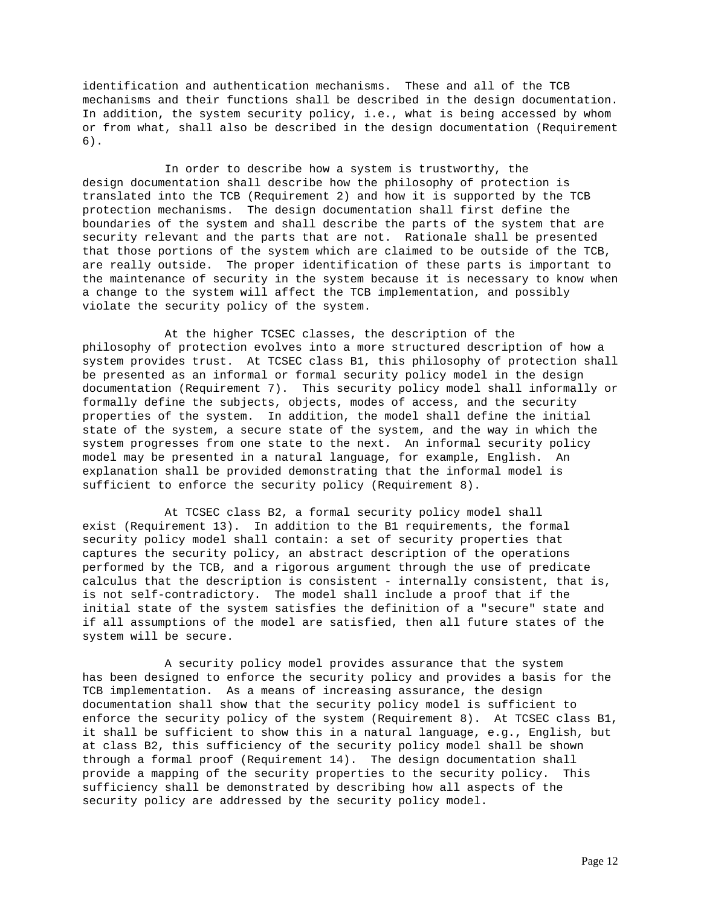identification and authentication mechanisms. These and all of the TCB mechanisms and their functions shall be described in the design documentation. In addition, the system security policy, i.e., what is being accessed by whom or from what, shall also be described in the design documentation (Requirement 6).

In order to describe how a system is trustworthy, the design documentation shall describe how the philosophy of protection is translated into the TCB (Requirement 2) and how it is supported by the TCB protection mechanisms. The design documentation shall first define the boundaries of the system and shall describe the parts of the system that are security relevant and the parts that are not. Rationale shall be presented that those portions of the system which are claimed to be outside of the TCB, are really outside. The proper identification of these parts is important to the maintenance of security in the system because it is necessary to know when a change to the system will affect the TCB implementation, and possibly violate the security policy of the system.

At the higher TCSEC classes, the description of the philosophy of protection evolves into a more structured description of how a system provides trust. At TCSEC class B1, this philosophy of protection shall be presented as an informal or formal security policy model in the design documentation (Requirement 7). This security policy model shall informally or formally define the subjects, objects, modes of access, and the security properties of the system. In addition, the model shall define the initial state of the system, a secure state of the system, and the way in which the system progresses from one state to the next. An informal security policy model may be presented in a natural language, for example, English. An explanation shall be provided demonstrating that the informal model is sufficient to enforce the security policy (Requirement 8).

At TCSEC class B2, a formal security policy model shall exist (Requirement 13). In addition to the B1 requirements, the formal security policy model shall contain: a set of security properties that captures the security policy, an abstract description of the operations performed by the TCB, and a rigorous argument through the use of predicate calculus that the description is consistent - internally consistent, that is, is not self-contradictory. The model shall include a proof that if the initial state of the system satisfies the definition of a "secure" state and if all assumptions of the model are satisfied, then all future states of the system will be secure.

A security policy model provides assurance that the system has been designed to enforce the security policy and provides a basis for the TCB implementation. As a means of increasing assurance, the design documentation shall show that the security policy model is sufficient to enforce the security policy of the system (Requirement 8). At TCSEC class B1, it shall be sufficient to show this in a natural language, e.g., English, but at class B2, this sufficiency of the security policy model shall be shown through a formal proof (Requirement 14). The design documentation shall provide a mapping of the security properties to the security policy. This sufficiency shall be demonstrated by describing how all aspects of the security policy are addressed by the security policy model.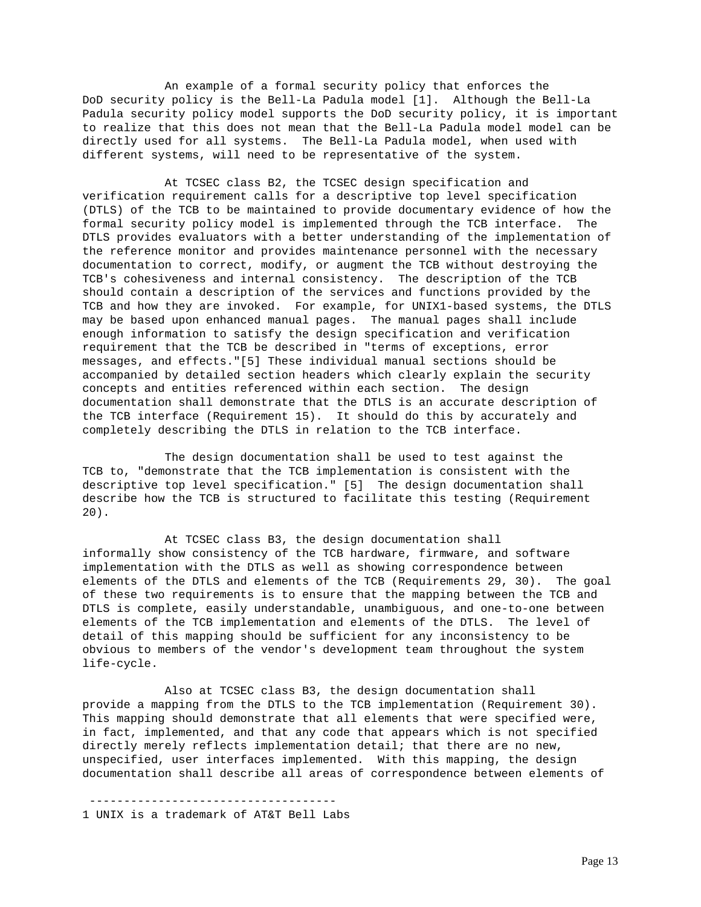An example of a formal security policy that enforces the DoD security policy is the Bell-La Padula model [1]. Although the Bell-La Padula security policy model supports the DoD security policy, it is important to realize that this does not mean that the Bell-La Padula model model can be directly used for all systems. The Bell-La Padula model, when used with different systems, will need to be representative of the system.

At TCSEC class B2, the TCSEC design specification and verification requirement calls for a descriptive top level specification (DTLS) of the TCB to be maintained to provide documentary evidence of how the formal security policy model is implemented through the TCB interface. The DTLS provides evaluators with a better understanding of the implementation of the reference monitor and provides maintenance personnel with the necessary documentation to correct, modify, or augment the TCB without destroying the TCB's cohesiveness and internal consistency. The description of the TCB should contain a description of the services and functions provided by the TCB and how they are invoked. For example, for UNIX1-based systems, the DTLS may be based upon enhanced manual pages. The manual pages shall include enough information to satisfy the design specification and verification requirement that the TCB be described in "terms of exceptions, error messages, and effects."[5] These individual manual sections should be accompanied by detailed section headers which clearly explain the security concepts and entities referenced within each section. The design documentation shall demonstrate that the DTLS is an accurate description of the TCB interface (Requirement 15). It should do this by accurately and completely describing the DTLS in relation to the TCB interface.

The design documentation shall be used to test against the TCB to, "demonstrate that the TCB implementation is consistent with the descriptive top level specification." [5] The design documentation shall describe how the TCB is structured to facilitate this testing (Requirement 20).

At TCSEC class B3, the design documentation shall informally show consistency of the TCB hardware, firmware, and software implementation with the DTLS as well as showing correspondence between elements of the DTLS and elements of the TCB (Requirements 29, 30). The goal of these two requirements is to ensure that the mapping between the TCB and DTLS is complete, easily understandable, unambiguous, and one-to-one between elements of the TCB implementation and elements of the DTLS. The level of detail of this mapping should be sufficient for any inconsistency to be obvious to members of the vendor's development team throughout the system life-cycle.

Also at TCSEC class B3, the design documentation shall provide a mapping from the DTLS to the TCB implementation (Requirement 30). This mapping should demonstrate that all elements that were specified were, in fact, implemented, and that any code that appears which is not specified directly merely reflects implementation detail; that there are no new, unspecified, user interfaces implemented. With this mapping, the design documentation shall describe all areas of correspondence between elements of

 ------------------------------------ 1 UNIX is a trademark of AT&T Bell Labs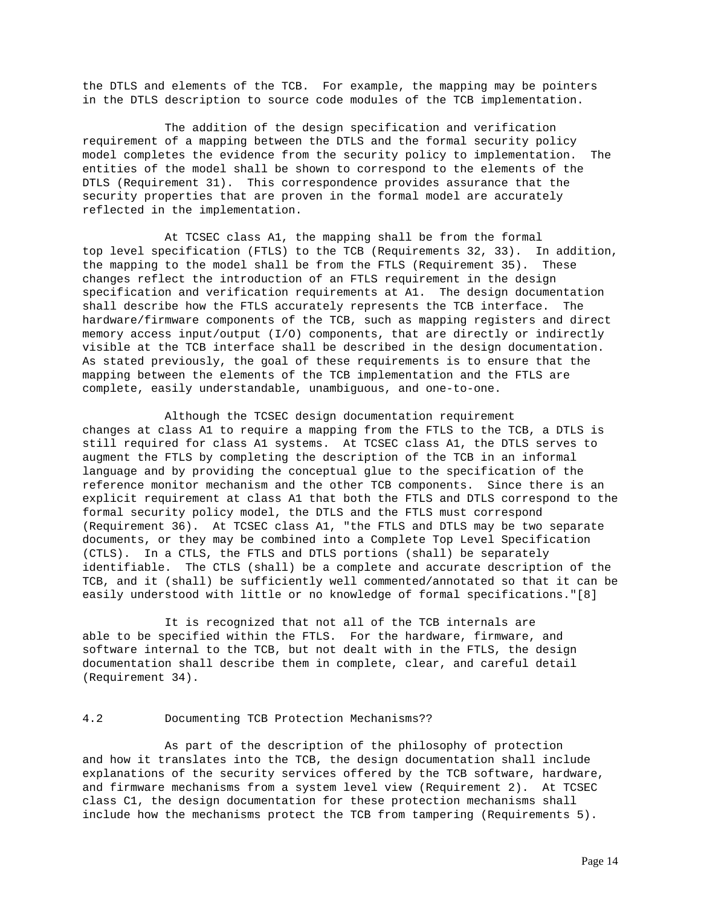the DTLS and elements of the TCB. For example, the mapping may be pointers in the DTLS description to source code modules of the TCB implementation.

The addition of the design specification and verification requirement of a mapping between the DTLS and the formal security policy model completes the evidence from the security policy to implementation. The entities of the model shall be shown to correspond to the elements of the DTLS (Requirement 31). This correspondence provides assurance that the security properties that are proven in the formal model are accurately reflected in the implementation.

At TCSEC class A1, the mapping shall be from the formal top level specification (FTLS) to the TCB (Requirements 32, 33). In addition, the mapping to the model shall be from the FTLS (Requirement 35). These changes reflect the introduction of an FTLS requirement in the design specification and verification requirements at A1. The design documentation shall describe how the FTLS accurately represents the TCB interface. The hardware/firmware components of the TCB, such as mapping registers and direct memory access input/output (I/O) components, that are directly or indirectly visible at the TCB interface shall be described in the design documentation. As stated previously, the goal of these requirements is to ensure that the mapping between the elements of the TCB implementation and the FTLS are complete, easily understandable, unambiguous, and one-to-one.

Although the TCSEC design documentation requirement changes at class A1 to require a mapping from the FTLS to the TCB, a DTLS is still required for class A1 systems. At TCSEC class A1, the DTLS serves to augment the FTLS by completing the description of the TCB in an informal language and by providing the conceptual glue to the specification of the reference monitor mechanism and the other TCB components. Since there is an explicit requirement at class A1 that both the FTLS and DTLS correspond to the formal security policy model, the DTLS and the FTLS must correspond (Requirement 36). At TCSEC class A1, "the FTLS and DTLS may be two separate documents, or they may be combined into a Complete Top Level Specification (CTLS). In a CTLS, the FTLS and DTLS portions (shall) be separately identifiable. The CTLS (shall) be a complete and accurate description of the TCB, and it (shall) be sufficiently well commented/annotated so that it can be easily understood with little or no knowledge of formal specifications."[8]

It is recognized that not all of the TCB internals are able to be specified within the FTLS. For the hardware, firmware, and software internal to the TCB, but not dealt with in the FTLS, the design documentation shall describe them in complete, clear, and careful detail (Requirement 34).

#### 4.2 Documenting TCB Protection Mechanisms??

As part of the description of the philosophy of protection and how it translates into the TCB, the design documentation shall include explanations of the security services offered by the TCB software, hardware, and firmware mechanisms from a system level view (Requirement 2). At TCSEC class C1, the design documentation for these protection mechanisms shall include how the mechanisms protect the TCB from tampering (Requirements 5).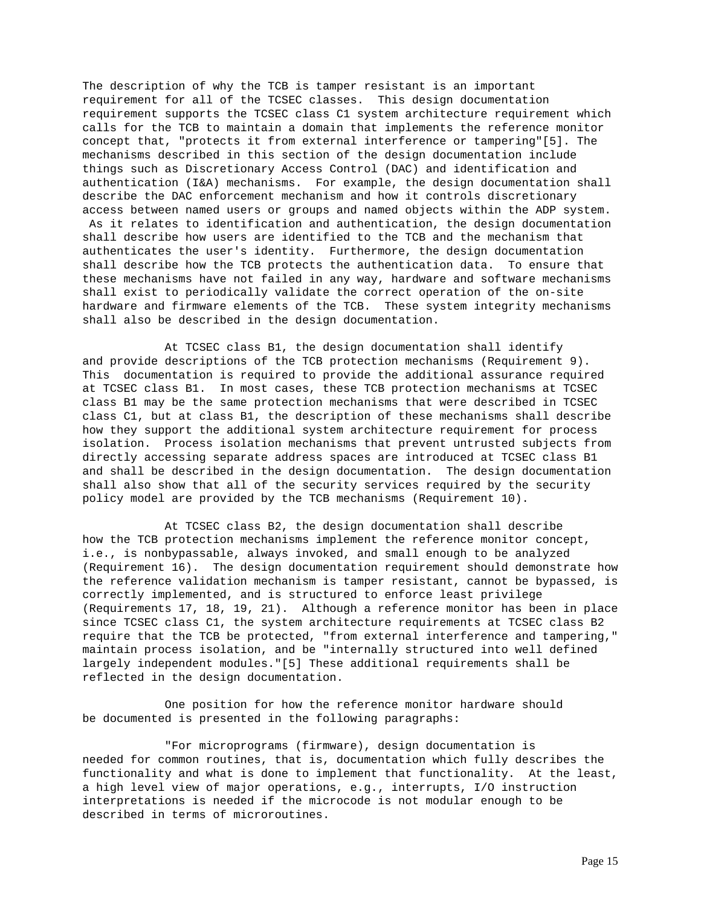The description of why the TCB is tamper resistant is an important requirement for all of the TCSEC classes. This design documentation requirement supports the TCSEC class C1 system architecture requirement which calls for the TCB to maintain a domain that implements the reference monitor concept that, "protects it from external interference or tampering"[5]. The mechanisms described in this section of the design documentation include things such as Discretionary Access Control (DAC) and identification and authentication (I&A) mechanisms. For example, the design documentation shall describe the DAC enforcement mechanism and how it controls discretionary access between named users or groups and named objects within the ADP system. As it relates to identification and authentication, the design documentation shall describe how users are identified to the TCB and the mechanism that authenticates the user's identity. Furthermore, the design documentation shall describe how the TCB protects the authentication data. To ensure that these mechanisms have not failed in any way, hardware and software mechanisms shall exist to periodically validate the correct operation of the on-site hardware and firmware elements of the TCB. These system integrity mechanisms shall also be described in the design documentation.

At TCSEC class B1, the design documentation shall identify and provide descriptions of the TCB protection mechanisms (Requirement 9). This documentation is required to provide the additional assurance required at TCSEC class B1. In most cases, these TCB protection mechanisms at TCSEC class B1 may be the same protection mechanisms that were described in TCSEC class C1, but at class B1, the description of these mechanisms shall describe how they support the additional system architecture requirement for process isolation. Process isolation mechanisms that prevent untrusted subjects from directly accessing separate address spaces are introduced at TCSEC class B1 and shall be described in the design documentation. The design documentation shall also show that all of the security services required by the security policy model are provided by the TCB mechanisms (Requirement 10).

At TCSEC class B2, the design documentation shall describe how the TCB protection mechanisms implement the reference monitor concept, i.e., is nonbypassable, always invoked, and small enough to be analyzed (Requirement 16). The design documentation requirement should demonstrate how the reference validation mechanism is tamper resistant, cannot be bypassed, is correctly implemented, and is structured to enforce least privilege (Requirements 17, 18, 19, 21). Although a reference monitor has been in place since TCSEC class C1, the system architecture requirements at TCSEC class B2 require that the TCB be protected, "from external interference and tampering," maintain process isolation, and be "internally structured into well defined largely independent modules."[5] These additional requirements shall be reflected in the design documentation.

One position for how the reference monitor hardware should be documented is presented in the following paragraphs:

"For microprograms (firmware), design documentation is needed for common routines, that is, documentation which fully describes the functionality and what is done to implement that functionality. At the least, a high level view of major operations, e.g., interrupts, I/O instruction interpretations is needed if the microcode is not modular enough to be described in terms of microroutines.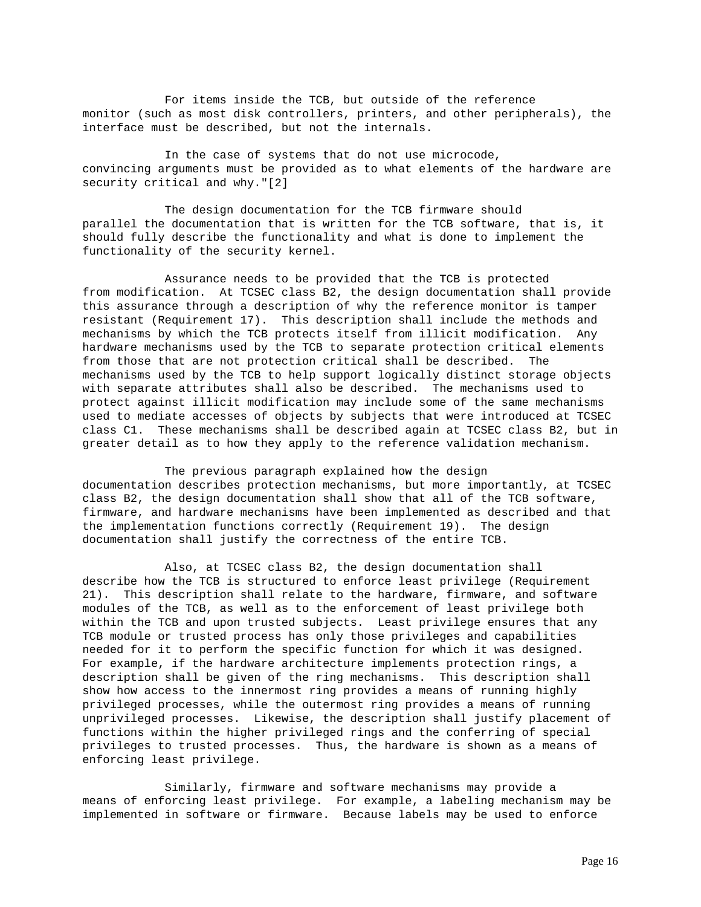For items inside the TCB, but outside of the reference monitor (such as most disk controllers, printers, and other peripherals), the interface must be described, but not the internals.

In the case of systems that do not use microcode, convincing arguments must be provided as to what elements of the hardware are security critical and why."[2]

The design documentation for the TCB firmware should parallel the documentation that is written for the TCB software, that is, it should fully describe the functionality and what is done to implement the functionality of the security kernel.

Assurance needs to be provided that the TCB is protected from modification. At TCSEC class B2, the design documentation shall provide this assurance through a description of why the reference monitor is tamper resistant (Requirement 17). This description shall include the methods and mechanisms by which the TCB protects itself from illicit modification. Any hardware mechanisms used by the TCB to separate protection critical elements from those that are not protection critical shall be described. The mechanisms used by the TCB to help support logically distinct storage objects with separate attributes shall also be described. The mechanisms used to protect against illicit modification may include some of the same mechanisms used to mediate accesses of objects by subjects that were introduced at TCSEC class C1. These mechanisms shall be described again at TCSEC class B2, but in greater detail as to how they apply to the reference validation mechanism.

The previous paragraph explained how the design documentation describes protection mechanisms, but more importantly, at TCSEC class B2, the design documentation shall show that all of the TCB software, firmware, and hardware mechanisms have been implemented as described and that the implementation functions correctly (Requirement 19). The design documentation shall justify the correctness of the entire TCB.

Also, at TCSEC class B2, the design documentation shall describe how the TCB is structured to enforce least privilege (Requirement 21). This description shall relate to the hardware, firmware, and software modules of the TCB, as well as to the enforcement of least privilege both within the TCB and upon trusted subjects. Least privilege ensures that any TCB module or trusted process has only those privileges and capabilities needed for it to perform the specific function for which it was designed. For example, if the hardware architecture implements protection rings, a description shall be given of the ring mechanisms. This description shall show how access to the innermost ring provides a means of running highly privileged processes, while the outermost ring provides a means of running unprivileged processes. Likewise, the description shall justify placement of functions within the higher privileged rings and the conferring of special privileges to trusted processes. Thus, the hardware is shown as a means of enforcing least privilege.

Similarly, firmware and software mechanisms may provide a means of enforcing least privilege. For example, a labeling mechanism may be implemented in software or firmware. Because labels may be used to enforce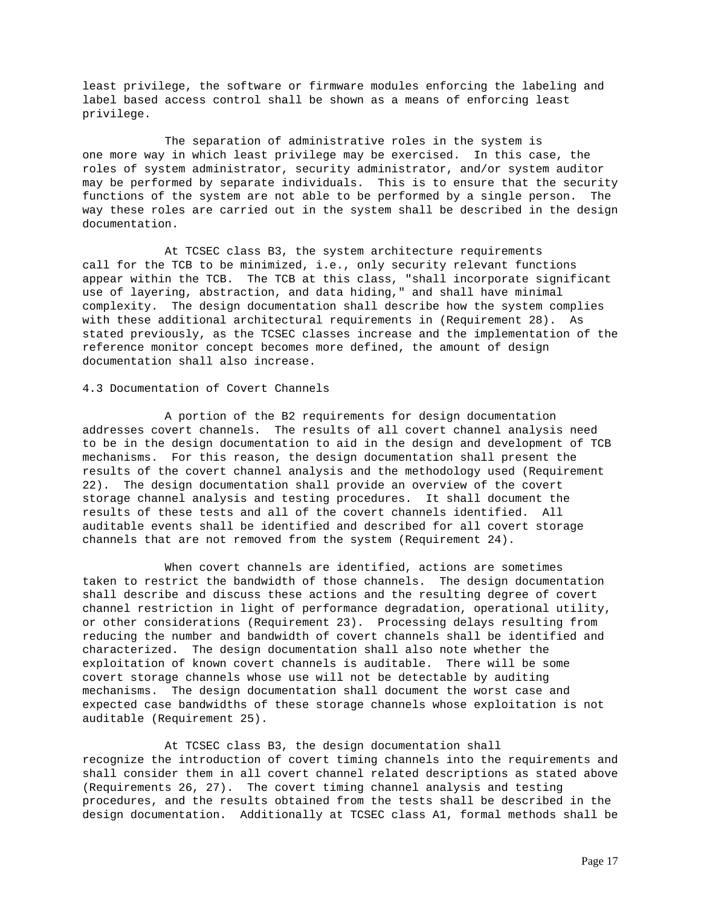least privilege, the software or firmware modules enforcing the labeling and label based access control shall be shown as a means of enforcing least privilege.

The separation of administrative roles in the system is one more way in which least privilege may be exercised. In this case, the roles of system administrator, security administrator, and/or system auditor may be performed by separate individuals. This is to ensure that the security functions of the system are not able to be performed by a single person. The way these roles are carried out in the system shall be described in the design documentation.

At TCSEC class B3, the system architecture requirements call for the TCB to be minimized, i.e., only security relevant functions appear within the TCB. The TCB at this class, "shall incorporate significant use of layering, abstraction, and data hiding," and shall have minimal complexity. The design documentation shall describe how the system complies with these additional architectural requirements in (Requirement 28). As stated previously, as the TCSEC classes increase and the implementation of the reference monitor concept becomes more defined, the amount of design documentation shall also increase.

# 4.3 Documentation of Covert Channels

A portion of the B2 requirements for design documentation addresses covert channels. The results of all covert channel analysis need to be in the design documentation to aid in the design and development of TCB mechanisms. For this reason, the design documentation shall present the results of the covert channel analysis and the methodology used (Requirement 22). The design documentation shall provide an overview of the covert storage channel analysis and testing procedures. It shall document the results of these tests and all of the covert channels identified. All auditable events shall be identified and described for all covert storage channels that are not removed from the system (Requirement 24).

When covert channels are identified, actions are sometimes taken to restrict the bandwidth of those channels. The design documentation shall describe and discuss these actions and the resulting degree of covert channel restriction in light of performance degradation, operational utility, or other considerations (Requirement 23). Processing delays resulting from reducing the number and bandwidth of covert channels shall be identified and characterized. The design documentation shall also note whether the exploitation of known covert channels is auditable. There will be some covert storage channels whose use will not be detectable by auditing mechanisms. The design documentation shall document the worst case and expected case bandwidths of these storage channels whose exploitation is not auditable (Requirement 25).

At TCSEC class B3, the design documentation shall recognize the introduction of covert timing channels into the requirements and shall consider them in all covert channel related descriptions as stated above (Requirements 26, 27). The covert timing channel analysis and testing procedures, and the results obtained from the tests shall be described in the design documentation. Additionally at TCSEC class A1, formal methods shall be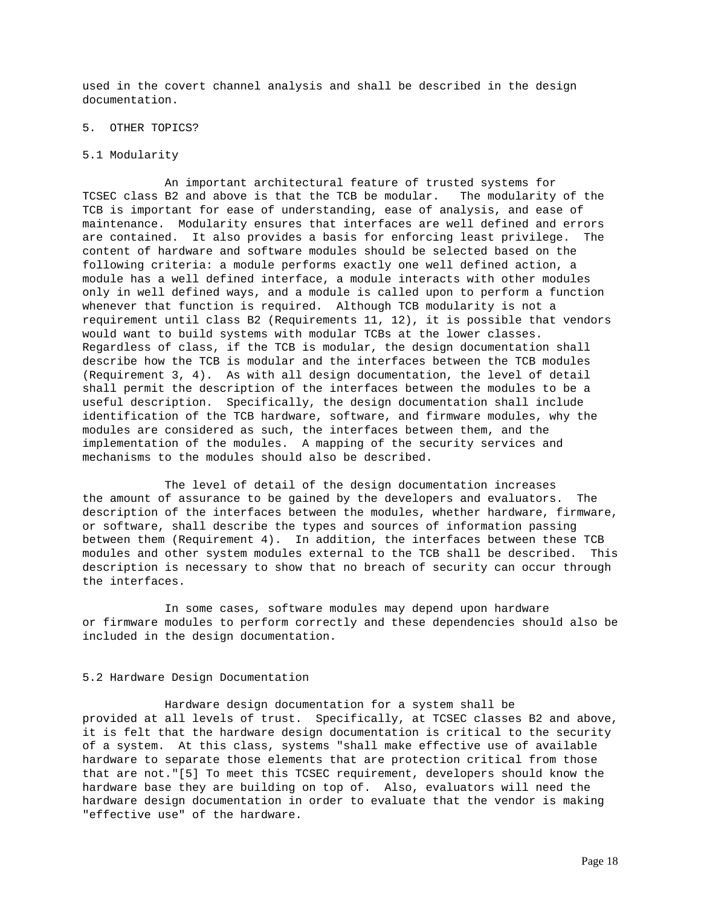used in the covert channel analysis and shall be described in the design documentation.

### 5. OTHER TOPICS?

# 5.1 Modularity

An important architectural feature of trusted systems for TCSEC class B2 and above is that the TCB be modular. The modularity of the TCB is important for ease of understanding, ease of analysis, and ease of maintenance. Modularity ensures that interfaces are well defined and errors are contained. It also provides a basis for enforcing least privilege. The content of hardware and software modules should be selected based on the following criteria: a module performs exactly one well defined action, a module has a well defined interface, a module interacts with other modules only in well defined ways, and a module is called upon to perform a function whenever that function is required. Although TCB modularity is not a requirement until class B2 (Requirements 11, 12), it is possible that vendors would want to build systems with modular TCBs at the lower classes. Regardless of class, if the TCB is modular, the design documentation shall describe how the TCB is modular and the interfaces between the TCB modules (Requirement 3, 4). As with all design documentation, the level of detail shall permit the description of the interfaces between the modules to be a useful description. Specifically, the design documentation shall include identification of the TCB hardware, software, and firmware modules, why the modules are considered as such, the interfaces between them, and the implementation of the modules. A mapping of the security services and mechanisms to the modules should also be described.

The level of detail of the design documentation increases the amount of assurance to be gained by the developers and evaluators. The description of the interfaces between the modules, whether hardware, firmware, or software, shall describe the types and sources of information passing between them (Requirement 4). In addition, the interfaces between these TCB modules and other system modules external to the TCB shall be described. This description is necessary to show that no breach of security can occur through the interfaces.

In some cases, software modules may depend upon hardware or firmware modules to perform correctly and these dependencies should also be included in the design documentation.

### 5.2 Hardware Design Documentation

Hardware design documentation for a system shall be provided at all levels of trust. Specifically, at TCSEC classes B2 and above, it is felt that the hardware design documentation is critical to the security of a system. At this class, systems "shall make effective use of available hardware to separate those elements that are protection critical from those that are not."[5] To meet this TCSEC requirement, developers should know the hardware base they are building on top of. Also, evaluators will need the hardware design documentation in order to evaluate that the vendor is making "effective use" of the hardware.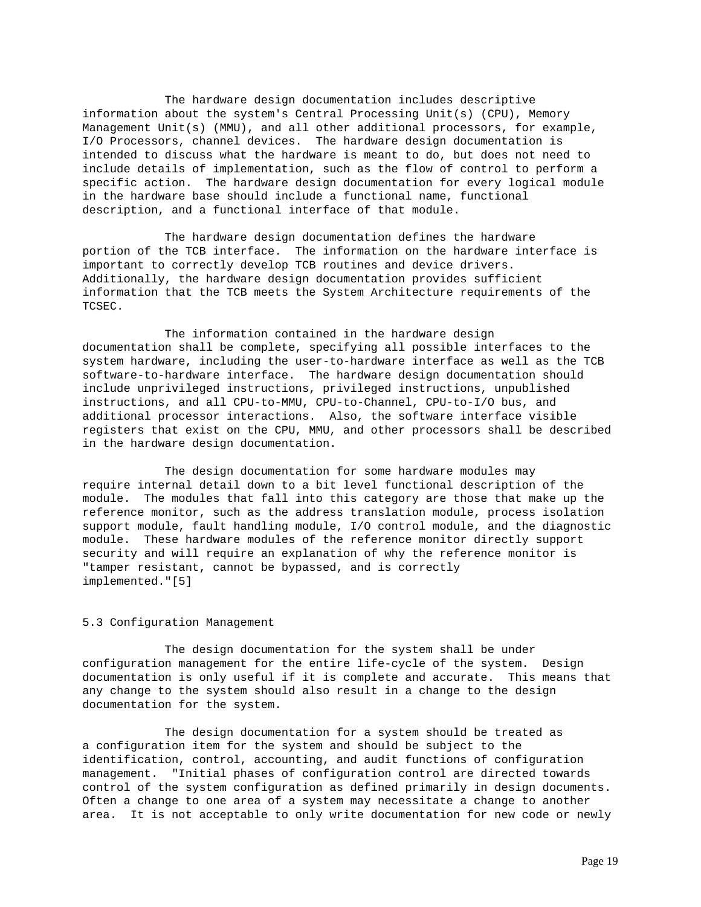The hardware design documentation includes descriptive information about the system's Central Processing Unit(s) (CPU), Memory Management Unit(s) (MMU), and all other additional processors, for example, I/O Processors, channel devices. The hardware design documentation is intended to discuss what the hardware is meant to do, but does not need to include details of implementation, such as the flow of control to perform a specific action. The hardware design documentation for every logical module in the hardware base should include a functional name, functional description, and a functional interface of that module.

The hardware design documentation defines the hardware portion of the TCB interface. The information on the hardware interface is important to correctly develop TCB routines and device drivers. Additionally, the hardware design documentation provides sufficient information that the TCB meets the System Architecture requirements of the TCSEC.

The information contained in the hardware design documentation shall be complete, specifying all possible interfaces to the system hardware, including the user-to-hardware interface as well as the TCB software-to-hardware interface. The hardware design documentation should include unprivileged instructions, privileged instructions, unpublished instructions, and all CPU-to-MMU, CPU-to-Channel, CPU-to-I/O bus, and additional processor interactions. Also, the software interface visible registers that exist on the CPU, MMU, and other processors shall be described in the hardware design documentation.

The design documentation for some hardware modules may require internal detail down to a bit level functional description of the module. The modules that fall into this category are those that make up the reference monitor, such as the address translation module, process isolation support module, fault handling module, I/O control module, and the diagnostic module. These hardware modules of the reference monitor directly support security and will require an explanation of why the reference monitor is "tamper resistant, cannot be bypassed, and is correctly implemented."[5]

# 5.3 Configuration Management

The design documentation for the system shall be under configuration management for the entire life-cycle of the system. Design documentation is only useful if it is complete and accurate. This means that any change to the system should also result in a change to the design documentation for the system.

The design documentation for a system should be treated as a configuration item for the system and should be subject to the identification, control, accounting, and audit functions of configuration management. "Initial phases of configuration control are directed towards control of the system configuration as defined primarily in design documents. Often a change to one area of a system may necessitate a change to another area. It is not acceptable to only write documentation for new code or newly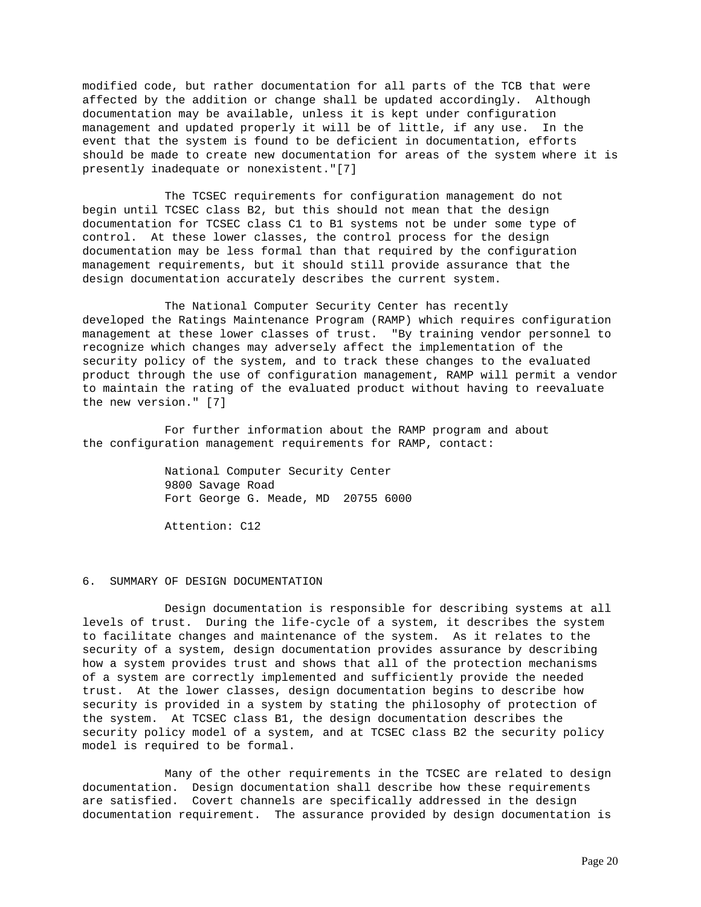modified code, but rather documentation for all parts of the TCB that were affected by the addition or change shall be updated accordingly. Although documentation may be available, unless it is kept under configuration management and updated properly it will be of little, if any use. In the event that the system is found to be deficient in documentation, efforts should be made to create new documentation for areas of the system where it is presently inadequate or nonexistent."[7]

The TCSEC requirements for configuration management do not begin until TCSEC class B2, but this should not mean that the design documentation for TCSEC class C1 to B1 systems not be under some type of control. At these lower classes, the control process for the design documentation may be less formal than that required by the configuration management requirements, but it should still provide assurance that the design documentation accurately describes the current system.

The National Computer Security Center has recently developed the Ratings Maintenance Program (RAMP) which requires configuration management at these lower classes of trust. "By training vendor personnel to recognize which changes may adversely affect the implementation of the security policy of the system, and to track these changes to the evaluated product through the use of configuration management, RAMP will permit a vendor to maintain the rating of the evaluated product without having to reevaluate the new version." [7]

For further information about the RAMP program and about the configuration management requirements for RAMP, contact:

> National Computer Security Center 9800 Savage Road Fort George G. Meade, MD 20755 6000

Attention: C12

### 6. SUMMARY OF DESIGN DOCUMENTATION

Design documentation is responsible for describing systems at all levels of trust. During the life-cycle of a system, it describes the system to facilitate changes and maintenance of the system. As it relates to the security of a system, design documentation provides assurance by describing how a system provides trust and shows that all of the protection mechanisms of a system are correctly implemented and sufficiently provide the needed trust. At the lower classes, design documentation begins to describe how security is provided in a system by stating the philosophy of protection of the system. At TCSEC class B1, the design documentation describes the security policy model of a system, and at TCSEC class B2 the security policy model is required to be formal.

Many of the other requirements in the TCSEC are related to design documentation. Design documentation shall describe how these requirements are satisfied. Covert channels are specifically addressed in the design documentation requirement. The assurance provided by design documentation is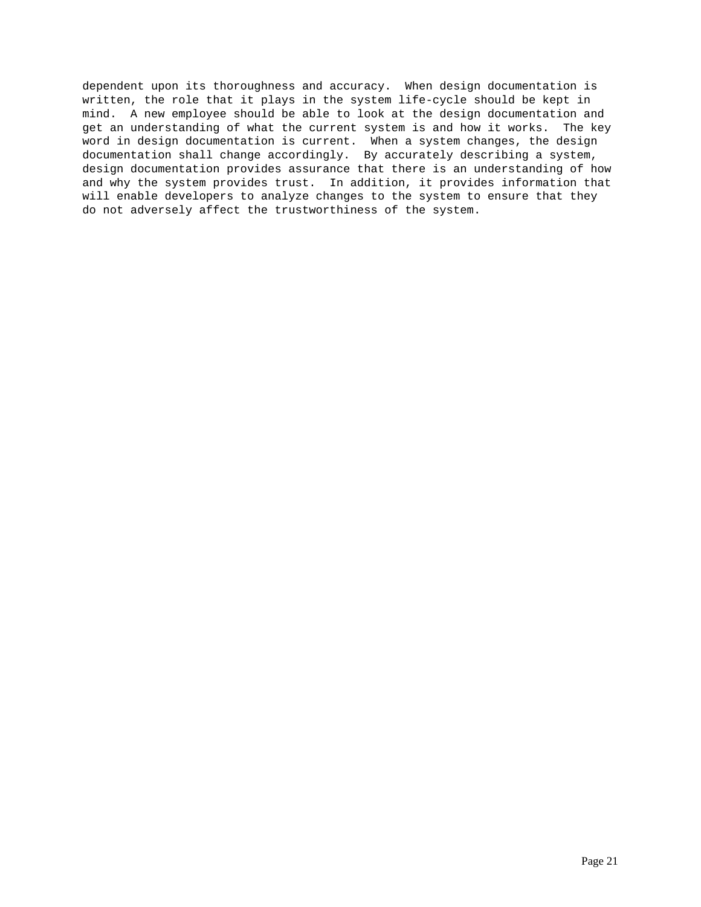dependent upon its thoroughness and accuracy. When design documentation is written, the role that it plays in the system life-cycle should be kept in mind. A new employee should be able to look at the design documentation and get an understanding of what the current system is and how it works. The key word in design documentation is current. When a system changes, the design documentation shall change accordingly. By accurately describing a system, design documentation provides assurance that there is an understanding of how and why the system provides trust. In addition, it provides information that will enable developers to analyze changes to the system to ensure that they do not adversely affect the trustworthiness of the system.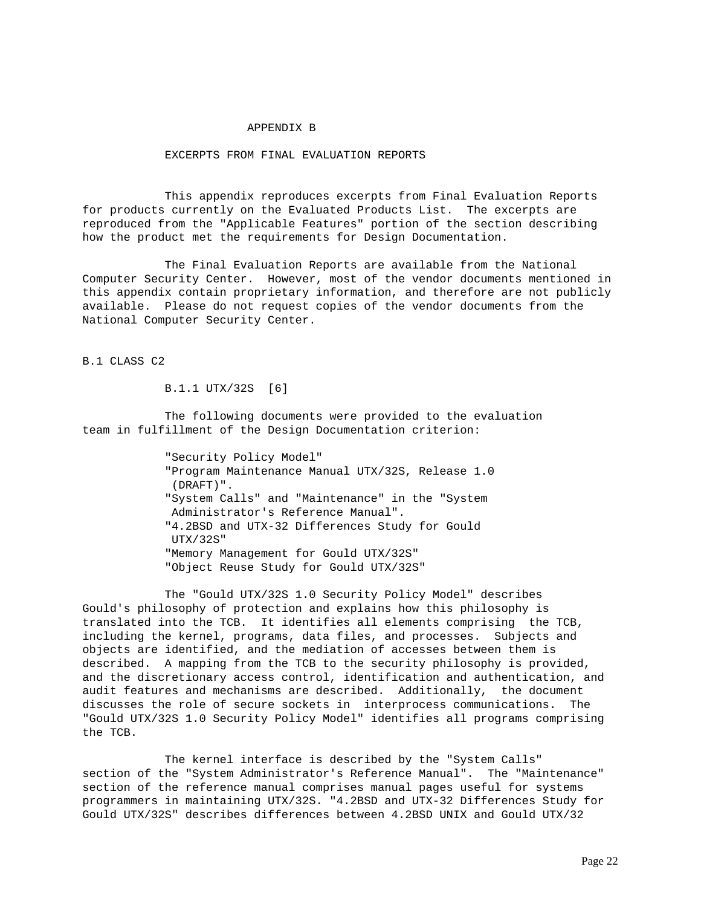### APPENDIX B

## EXCERPTS FROM FINAL EVALUATION REPORTS

This appendix reproduces excerpts from Final Evaluation Reports for products currently on the Evaluated Products List. The excerpts are reproduced from the "Applicable Features" portion of the section describing how the product met the requirements for Design Documentation.

The Final Evaluation Reports are available from the National Computer Security Center. However, most of the vendor documents mentioned in this appendix contain proprietary information, and therefore are not publicly available. Please do not request copies of the vendor documents from the National Computer Security Center.

B.1 CLASS C2

B.1.1 UTX/32S [6]

The following documents were provided to the evaluation team in fulfillment of the Design Documentation criterion:

> "Security Policy Model" "Program Maintenance Manual UTX/32S, Release 1.0 (DRAFT)". "System Calls" and "Maintenance" in the "System Administrator's Reference Manual". "4.2BSD and UTX-32 Differences Study for Gould UTX/32S" "Memory Management for Gould UTX/32S" "Object Reuse Study for Gould UTX/32S"

The "Gould UTX/32S 1.0 Security Policy Model" describes Gould's philosophy of protection and explains how this philosophy is translated into the TCB. It identifies all elements comprising the TCB, including the kernel, programs, data files, and processes. Subjects and objects are identified, and the mediation of accesses between them is described. A mapping from the TCB to the security philosophy is provided, and the discretionary access control, identification and authentication, and audit features and mechanisms are described. Additionally, the document discusses the role of secure sockets in interprocess communications. The "Gould UTX/32S 1.0 Security Policy Model" identifies all programs comprising the TCB.

The kernel interface is described by the "System Calls" section of the "System Administrator's Reference Manual". The "Maintenance" section of the reference manual comprises manual pages useful for systems programmers in maintaining UTX/32S. "4.2BSD and UTX-32 Differences Study for Gould UTX/32S" describes differences between 4.2BSD UNIX and Gould UTX/32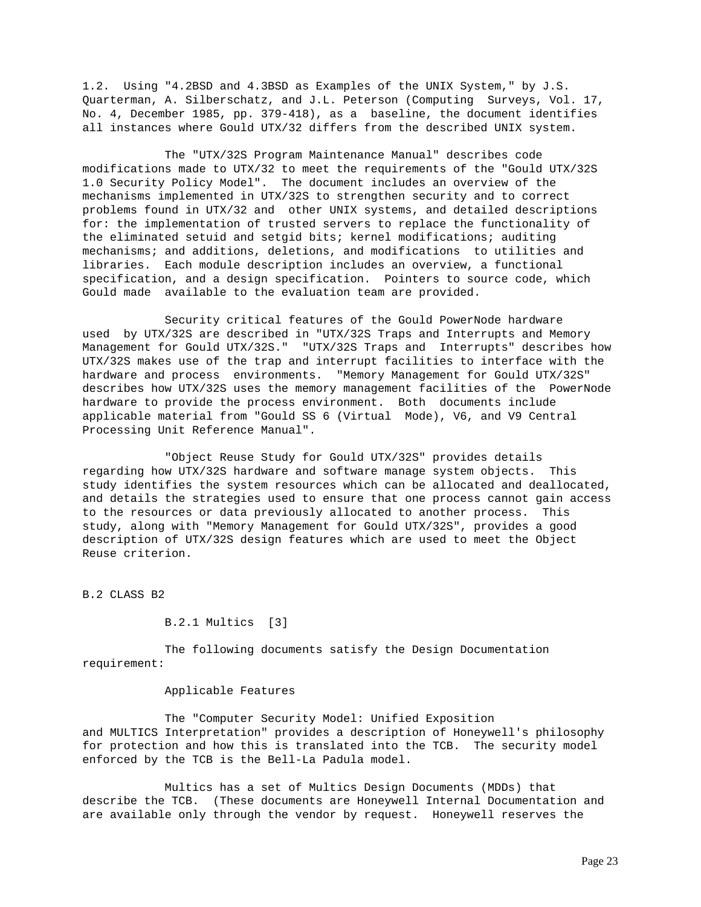1.2. Using "4.2BSD and 4.3BSD as Examples of the UNIX System," by J.S. Quarterman, A. Silberschatz, and J.L. Peterson (Computing Surveys, Vol. 17, No. 4, December 1985, pp. 379-418), as a baseline, the document identifies all instances where Gould UTX/32 differs from the described UNIX system.

The "UTX/32S Program Maintenance Manual" describes code modifications made to UTX/32 to meet the requirements of the "Gould UTX/32S 1.0 Security Policy Model". The document includes an overview of the mechanisms implemented in UTX/32S to strengthen security and to correct problems found in UTX/32 and other UNIX systems, and detailed descriptions for: the implementation of trusted servers to replace the functionality of the eliminated setuid and setgid bits; kernel modifications; auditing mechanisms; and additions, deletions, and modifications to utilities and libraries. Each module description includes an overview, a functional specification, and a design specification. Pointers to source code, which Gould made available to the evaluation team are provided.

Security critical features of the Gould PowerNode hardware used by UTX/32S are described in "UTX/32S Traps and Interrupts and Memory Management for Gould UTX/32S." "UTX/32S Traps and Interrupts" describes how UTX/32S makes use of the trap and interrupt facilities to interface with the hardware and process environments. "Memory Management for Gould UTX/32S" describes how UTX/32S uses the memory management facilities of the PowerNode hardware to provide the process environment. Both documents include applicable material from "Gould SS 6 (Virtual Mode), V6, and V9 Central Processing Unit Reference Manual".

"Object Reuse Study for Gould UTX/32S" provides details regarding how UTX/32S hardware and software manage system objects. This study identifies the system resources which can be allocated and deallocated, and details the strategies used to ensure that one process cannot gain access to the resources or data previously allocated to another process. This study, along with "Memory Management for Gould UTX/32S", provides a good description of UTX/32S design features which are used to meet the Object Reuse criterion.

B.2 CLASS B2

B.2.1 Multics [3]

The following documents satisfy the Design Documentation requirement:

# Applicable Features

The "Computer Security Model: Unified Exposition and MULTICS Interpretation" provides a description of Honeywell's philosophy for protection and how this is translated into the TCB. The security model enforced by the TCB is the Bell-La Padula model.

Multics has a set of Multics Design Documents (MDDs) that describe the TCB. (These documents are Honeywell Internal Documentation and are available only through the vendor by request. Honeywell reserves the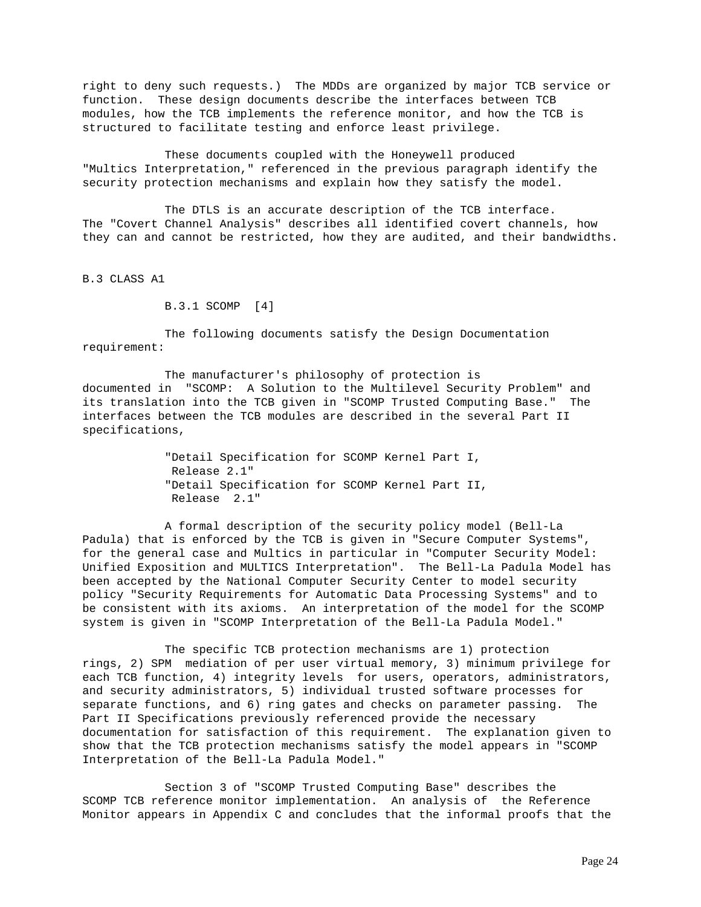right to deny such requests.) The MDDs are organized by major TCB service or function. These design documents describe the interfaces between TCB modules, how the TCB implements the reference monitor, and how the TCB is structured to facilitate testing and enforce least privilege.

These documents coupled with the Honeywell produced "Multics Interpretation," referenced in the previous paragraph identify the security protection mechanisms and explain how they satisfy the model.

The DTLS is an accurate description of the TCB interface. The "Covert Channel Analysis" describes all identified covert channels, how they can and cannot be restricted, how they are audited, and their bandwidths.

B.3 CLASS A1

B.3.1 SCOMP [4]

The following documents satisfy the Design Documentation requirement:

The manufacturer's philosophy of protection is documented in "SCOMP: A Solution to the Multilevel Security Problem" and its translation into the TCB given in "SCOMP Trusted Computing Base." The interfaces between the TCB modules are described in the several Part II specifications,

> "Detail Specification for SCOMP Kernel Part I, Release 2.1" "Detail Specification for SCOMP Kernel Part II, Release 2.1"

A formal description of the security policy model (Bell-La Padula) that is enforced by the TCB is given in "Secure Computer Systems", for the general case and Multics in particular in "Computer Security Model: Unified Exposition and MULTICS Interpretation". The Bell-La Padula Model has been accepted by the National Computer Security Center to model security policy "Security Requirements for Automatic Data Processing Systems" and to be consistent with its axioms. An interpretation of the model for the SCOMP system is given in "SCOMP Interpretation of the Bell-La Padula Model."

The specific TCB protection mechanisms are 1) protection rings, 2) SPM mediation of per user virtual memory, 3) minimum privilege for each TCB function, 4) integrity levels for users, operators, administrators, and security administrators, 5) individual trusted software processes for separate functions, and 6) ring gates and checks on parameter passing. The Part II Specifications previously referenced provide the necessary documentation for satisfaction of this requirement. The explanation given to show that the TCB protection mechanisms satisfy the model appears in "SCOMP Interpretation of the Bell-La Padula Model."

Section 3 of "SCOMP Trusted Computing Base" describes the SCOMP TCB reference monitor implementation. An analysis of the Reference Monitor appears in Appendix C and concludes that the informal proofs that the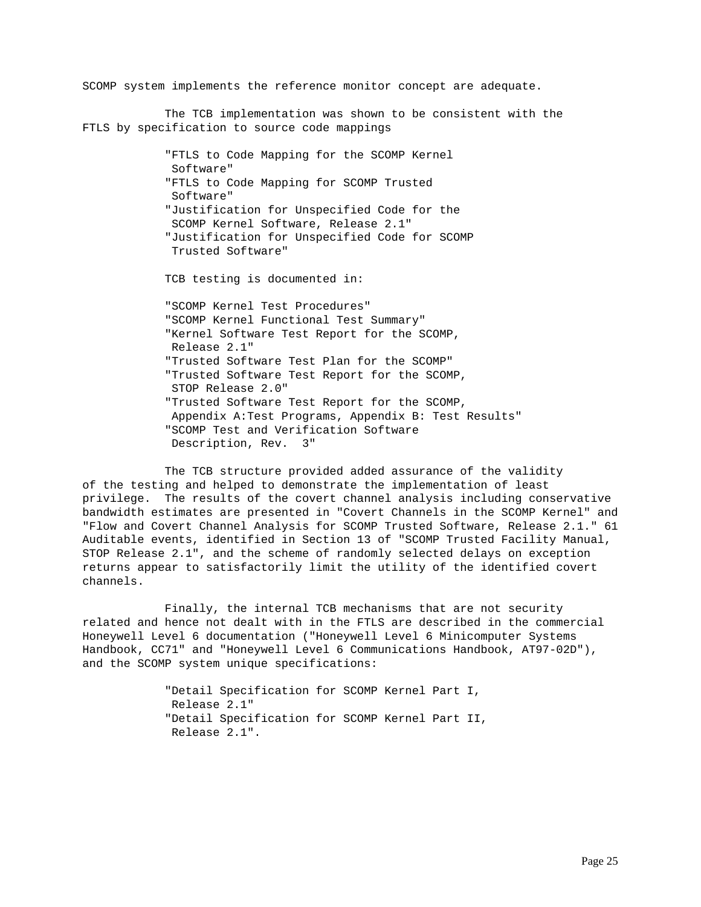SCOMP system implements the reference monitor concept are adequate.

The TCB implementation was shown to be consistent with the FTLS by specification to source code mappings "FTLS to Code Mapping for the SCOMP Kernel Software" "FTLS to Code Mapping for SCOMP Trusted Software"

> "Justification for Unspecified Code for the SCOMP Kernel Software, Release 2.1" "Justification for Unspecified Code for SCOMP Trusted Software"

TCB testing is documented in:

"SCOMP Kernel Test Procedures" "SCOMP Kernel Functional Test Summary" "Kernel Software Test Report for the SCOMP, Release 2.1" "Trusted Software Test Plan for the SCOMP" "Trusted Software Test Report for the SCOMP, STOP Release 2.0" "Trusted Software Test Report for the SCOMP, Appendix A:Test Programs, Appendix B: Test Results" "SCOMP Test and Verification Software Description, Rev. 3"

The TCB structure provided added assurance of the validity of the testing and helped to demonstrate the implementation of least privilege. The results of the covert channel analysis including conservative bandwidth estimates are presented in "Covert Channels in the SCOMP Kernel" and "Flow and Covert Channel Analysis for SCOMP Trusted Software, Release 2.1." 61 Auditable events, identified in Section 13 of "SCOMP Trusted Facility Manual, STOP Release 2.1", and the scheme of randomly selected delays on exception returns appear to satisfactorily limit the utility of the identified covert channels.

Finally, the internal TCB mechanisms that are not security related and hence not dealt with in the FTLS are described in the commercial Honeywell Level 6 documentation ("Honeywell Level 6 Minicomputer Systems Handbook, CC71" and "Honeywell Level 6 Communications Handbook, AT97-02D"), and the SCOMP system unique specifications:

> "Detail Specification for SCOMP Kernel Part I, Release 2.1" "Detail Specification for SCOMP Kernel Part II, Release 2.1".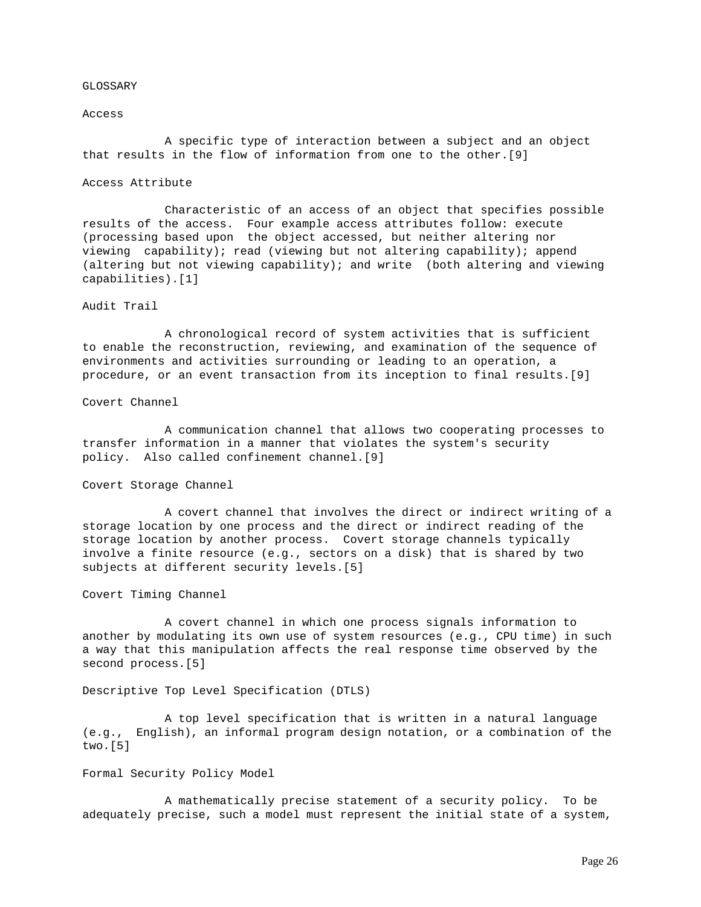#### GLOSSARY

#### Access

A specific type of interaction between a subject and an object that results in the flow of information from one to the other.[9]

# Access Attribute

Characteristic of an access of an object that specifies possible results of the access. Four example access attributes follow: execute (processing based upon the object accessed, but neither altering nor viewing capability); read (viewing but not altering capability); append (altering but not viewing capability); and write (both altering and viewing capabilities).[1]

### Audit Trail

A chronological record of system activities that is sufficient to enable the reconstruction, reviewing, and examination of the sequence of environments and activities surrounding or leading to an operation, a procedure, or an event transaction from its inception to final results.[9]

### Covert Channel

A communication channel that allows two cooperating processes to transfer information in a manner that violates the system's security policy. Also called confinement channel.[9]

### Covert Storage Channel

A covert channel that involves the direct or indirect writing of a storage location by one process and the direct or indirect reading of the storage location by another process. Covert storage channels typically involve a finite resource (e.g., sectors on a disk) that is shared by two subjects at different security levels.[5]

Covert Timing Channel

A covert channel in which one process signals information to another by modulating its own use of system resources (e.g., CPU time) in such a way that this manipulation affects the real response time observed by the second process.[5]

## Descriptive Top Level Specification (DTLS)

A top level specification that is written in a natural language (e.g., English), an informal program design notation, or a combination of the two.[5]

### Formal Security Policy Model

A mathematically precise statement of a security policy. To be adequately precise, such a model must represent the initial state of a system,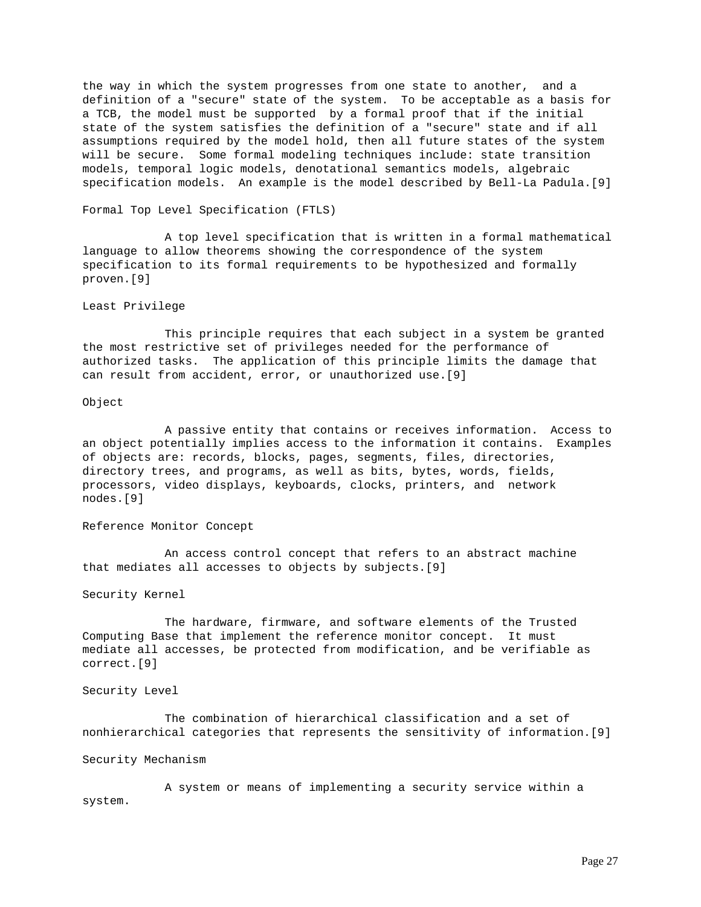the way in which the system progresses from one state to another, and a definition of a "secure" state of the system. To be acceptable as a basis for a TCB, the model must be supported by a formal proof that if the initial state of the system satisfies the definition of a "secure" state and if all assumptions required by the model hold, then all future states of the system will be secure. Some formal modeling techniques include: state transition models, temporal logic models, denotational semantics models, algebraic specification models. An example is the model described by Bell-La Padula.[9]

Formal Top Level Specification (FTLS)

A top level specification that is written in a formal mathematical language to allow theorems showing the correspondence of the system specification to its formal requirements to be hypothesized and formally proven.[9]

### Least Privilege

This principle requires that each subject in a system be granted the most restrictive set of privileges needed for the performance of authorized tasks. The application of this principle limits the damage that can result from accident, error, or unauthorized use.[9]

# Object

A passive entity that contains or receives information. Access to an object potentially implies access to the information it contains. Examples of objects are: records, blocks, pages, segments, files, directories, directory trees, and programs, as well as bits, bytes, words, fields, processors, video displays, keyboards, clocks, printers, and network nodes.[9]

### Reference Monitor Concept

An access control concept that refers to an abstract machine that mediates all accesses to objects by subjects.[9]

### Security Kernel

The hardware, firmware, and software elements of the Trusted Computing Base that implement the reference monitor concept. It must mediate all accesses, be protected from modification, and be verifiable as correct.[9]

#### Security Level

The combination of hierarchical classification and a set of nonhierarchical categories that represents the sensitivity of information.[9]

### Security Mechanism

A system or means of implementing a security service within a system.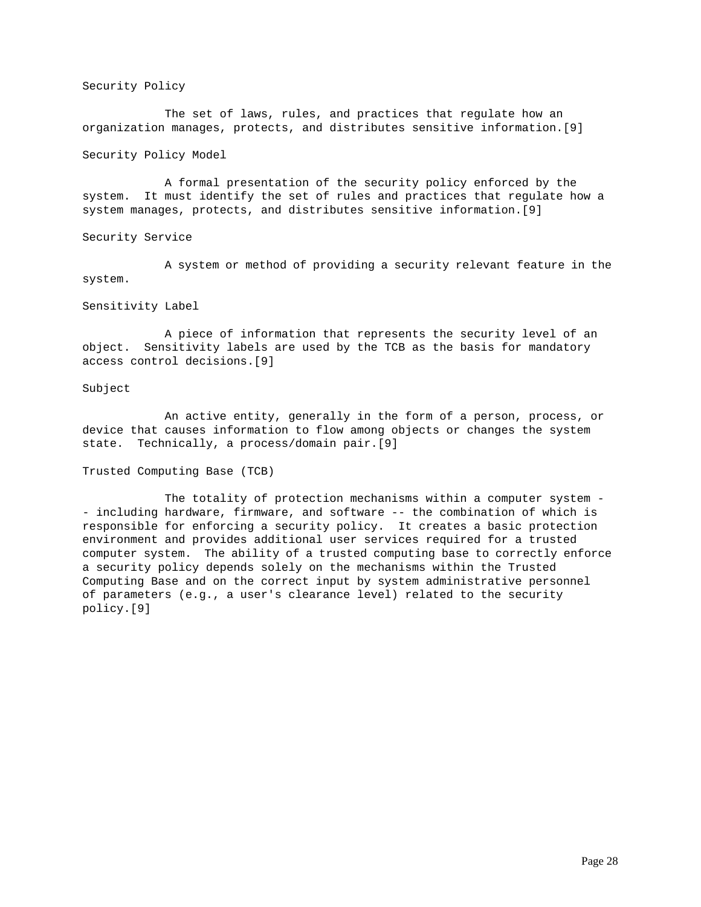#### Security Policy

The set of laws, rules, and practices that regulate how an organization manages, protects, and distributes sensitive information.[9]

Security Policy Model

A formal presentation of the security policy enforced by the system. It must identify the set of rules and practices that regulate how a system manages, protects, and distributes sensitive information.[9]

Security Service

A system or method of providing a security relevant feature in the system.

Sensitivity Label

A piece of information that represents the security level of an object. Sensitivity labels are used by the TCB as the basis for mandatory access control decisions.[9]

# Subject

An active entity, generally in the form of a person, process, or device that causes information to flow among objects or changes the system state. Technically, a process/domain pair.[9]

Trusted Computing Base (TCB)

The totality of protection mechanisms within a computer system - - including hardware, firmware, and software -- the combination of which is responsible for enforcing a security policy. It creates a basic protection environment and provides additional user services required for a trusted computer system. The ability of a trusted computing base to correctly enforce a security policy depends solely on the mechanisms within the Trusted Computing Base and on the correct input by system administrative personnel of parameters (e.g., a user's clearance level) related to the security policy.[9]